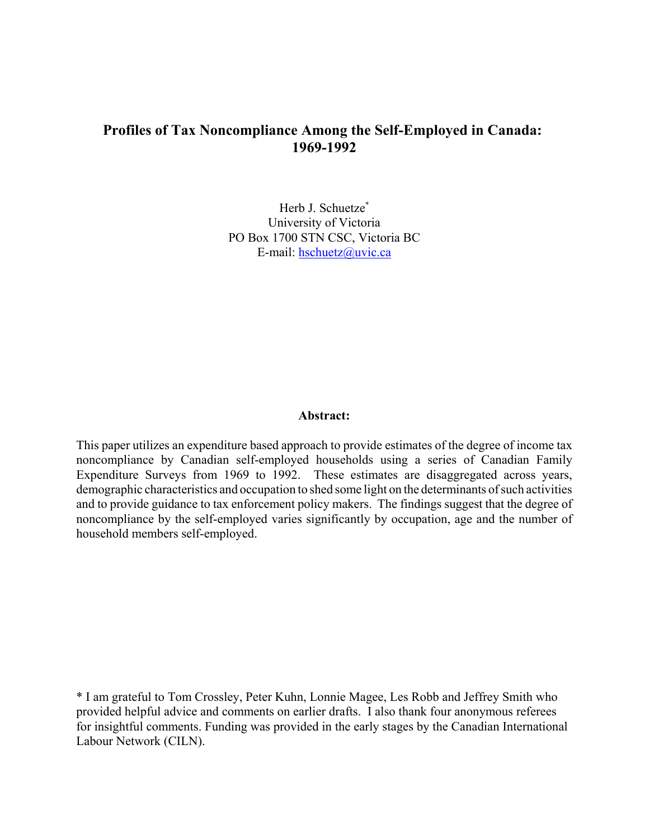# **Profiles of Tax Noncompliance Among the Self-Employed in Canada: 1969-1992**

Herb J. Schuetze\* University of Victoria PO Box 1700 STN CSC, Victoria BC E-mail: hschuetz@uvic.ca

## **Abstract:**

This paper utilizes an expenditure based approach to provide estimates of the degree of income tax noncompliance by Canadian self-employed households using a series of Canadian Family Expenditure Surveys from 1969 to 1992. These estimates are disaggregated across years, demographic characteristics and occupation to shed some light on the determinants of such activities and to provide guidance to tax enforcement policy makers. The findings suggest that the degree of noncompliance by the self-employed varies significantly by occupation, age and the number of household members self-employed.

\* I am grateful to Tom Crossley, Peter Kuhn, Lonnie Magee, Les Robb and Jeffrey Smith who provided helpful advice and comments on earlier drafts. I also thank four anonymous referees for insightful comments. Funding was provided in the early stages by the Canadian International Labour Network (CILN).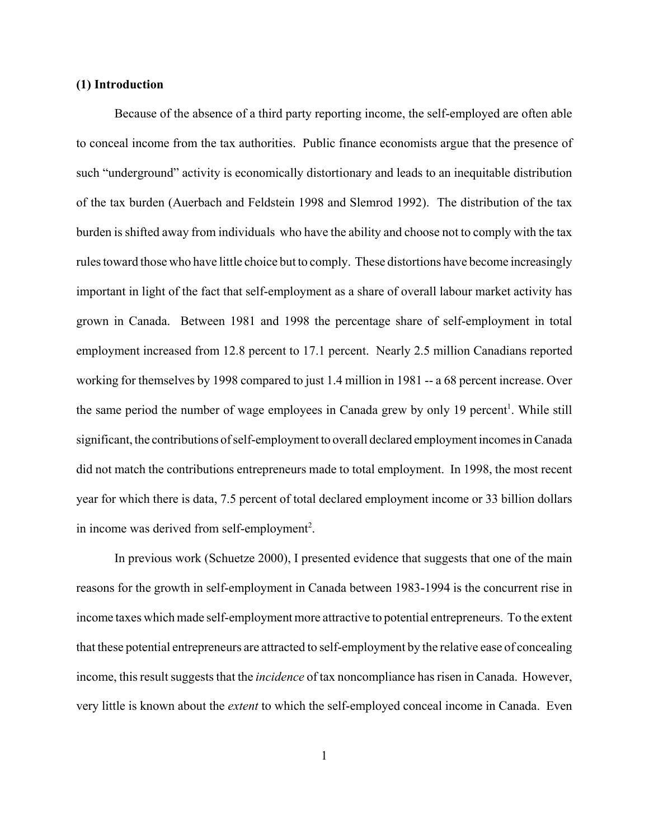## **(1) Introduction**

Because of the absence of a third party reporting income, the self-employed are often able to conceal income from the tax authorities. Public finance economists argue that the presence of such "underground" activity is economically distortionary and leads to an inequitable distribution of the tax burden (Auerbach and Feldstein 1998 and Slemrod 1992). The distribution of the tax burden is shifted away from individuals who have the ability and choose not to comply with the tax rules toward those who have little choice but to comply. These distortions have become increasingly important in light of the fact that self-employment as a share of overall labour market activity has grown in Canada. Between 1981 and 1998 the percentage share of self-employment in total employment increased from 12.8 percent to 17.1 percent. Nearly 2.5 million Canadians reported working for themselves by 1998 compared to just 1.4 million in 1981 -- a 68 percent increase. Over the same period the number of wage employees in Canada grew by only 19 percent<sup>1</sup>. While still significant, the contributions of self-employment to overall declared employment incomes in Canada did not match the contributions entrepreneurs made to total employment. In 1998, the most recent year for which there is data, 7.5 percent of total declared employment income or 33 billion dollars in income was derived from self-employment<sup>2</sup>.

In previous work (Schuetze 2000), I presented evidence that suggests that one of the main reasons for the growth in self-employment in Canada between 1983-1994 is the concurrent rise in income taxes which made self-employment more attractive to potential entrepreneurs. To the extent that these potential entrepreneurs are attracted to self-employment by the relative ease of concealing income, this result suggests that the *incidence* of tax noncompliance has risen in Canada. However, very little is known about the *extent* to which the self-employed conceal income in Canada. Even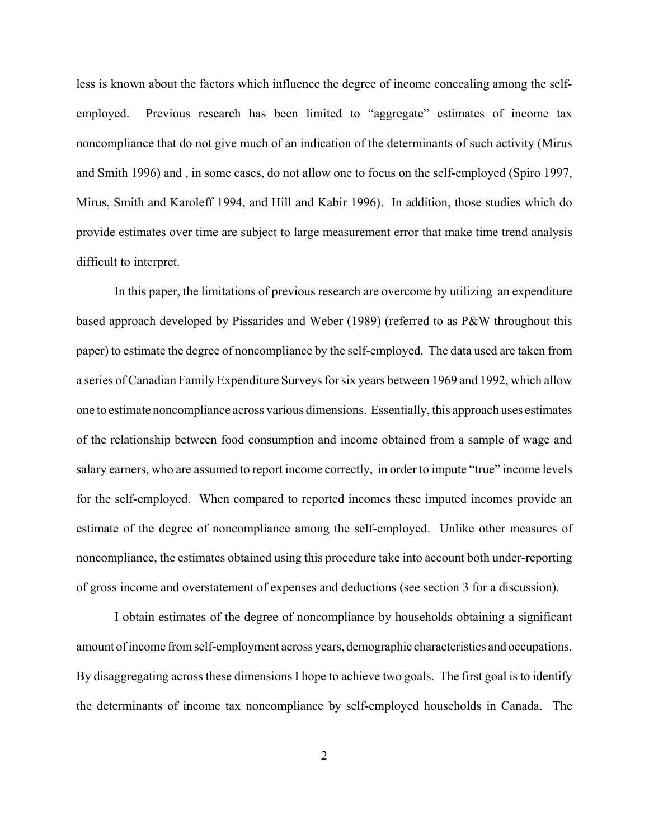less is known about the factors which influence the degree of income concealing among the selfemployed. Previous research has been limited to "aggregate" estimates of income tax noncompliance that do not give much of an indication of the determinants of such activity (Mirus and Smith 1996) and , in some cases, do not allow one to focus on the self-employed (Spiro 1997, Mirus, Smith and Karoleff 1994, and Hill and Kabir 1996). In addition, those studies which do provide estimates over time are subject to large measurement error that make time trend analysis difficult to interpret.

In this paper, the limitations of previous research are overcome by utilizing an expenditure based approach developed by Pissarides and Weber (1989) (referred to as P&W throughout this paper) to estimate the degree of noncompliance by the self-employed. The data used are taken from a series of Canadian Family Expenditure Surveys for six years between 1969 and 1992, which allow one to estimate noncompliance across various dimensions. Essentially, this approach uses estimates of the relationship between food consumption and income obtained from a sample of wage and salary earners, who are assumed to report income correctly, in order to impute "true" income levels for the self-employed. When compared to reported incomes these imputed incomes provide an estimate of the degree of noncompliance among the self-employed. Unlike other measures of noncompliance, the estimates obtained using this procedure take into account both under-reporting of gross income and overstatement of expenses and deductions (see section 3 for a discussion).

I obtain estimates of the degree of noncompliance by households obtaining a significant amount of income from self-employment across years, demographic characteristics and occupations. By disaggregating across these dimensions I hope to achieve two goals. The first goal is to identify the determinants of income tax noncompliance by self-employed households in Canada. The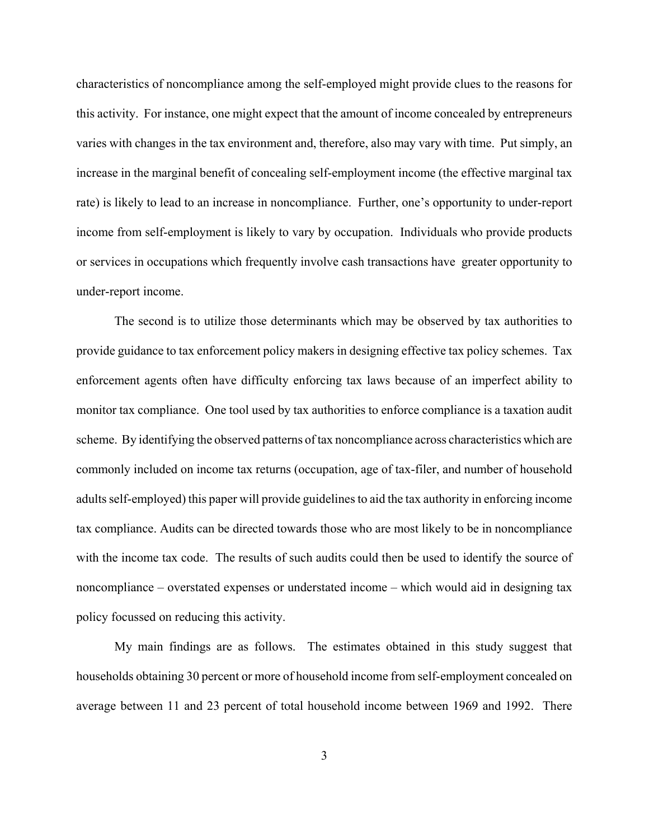characteristics of noncompliance among the self-employed might provide clues to the reasons for this activity. For instance, one might expect that the amount of income concealed by entrepreneurs varies with changes in the tax environment and, therefore, also may vary with time. Put simply, an increase in the marginal benefit of concealing self-employment income (the effective marginal tax rate) is likely to lead to an increase in noncompliance. Further, one's opportunity to under-report income from self-employment is likely to vary by occupation. Individuals who provide products or services in occupations which frequently involve cash transactions have greater opportunity to under-report income.

The second is to utilize those determinants which may be observed by tax authorities to provide guidance to tax enforcement policy makers in designing effective tax policy schemes. Tax enforcement agents often have difficulty enforcing tax laws because of an imperfect ability to monitor tax compliance. One tool used by tax authorities to enforce compliance is a taxation audit scheme. By identifying the observed patterns of tax noncompliance across characteristics which are commonly included on income tax returns (occupation, age of tax-filer, and number of household adults self-employed) this paper will provide guidelines to aid the tax authority in enforcing income tax compliance. Audits can be directed towards those who are most likely to be in noncompliance with the income tax code. The results of such audits could then be used to identify the source of noncompliance – overstated expenses or understated income – which would aid in designing tax policy focussed on reducing this activity.

My main findings are as follows. The estimates obtained in this study suggest that households obtaining 30 percent or more of household income from self-employment concealed on average between 11 and 23 percent of total household income between 1969 and 1992. There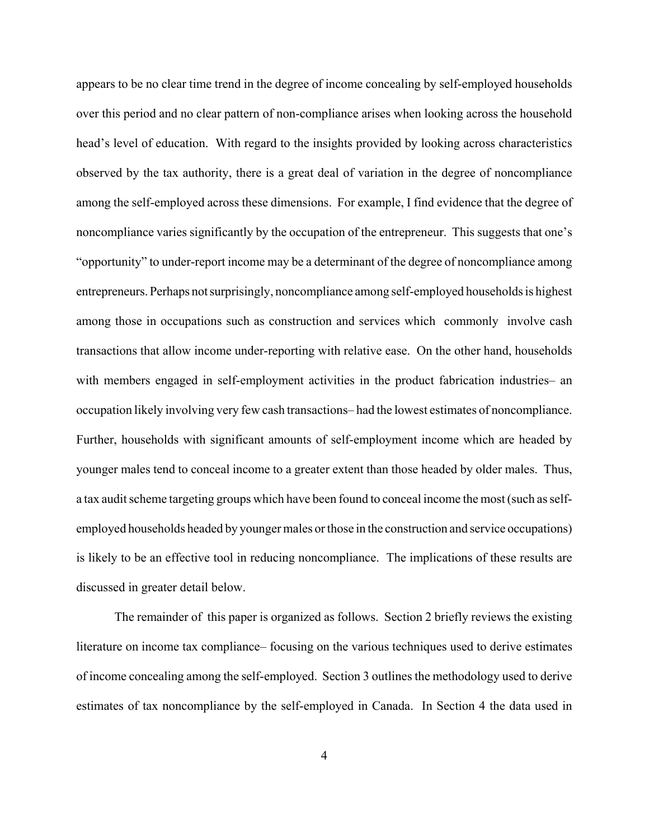appears to be no clear time trend in the degree of income concealing by self-employed households over this period and no clear pattern of non-compliance arises when looking across the household head's level of education. With regard to the insights provided by looking across characteristics observed by the tax authority, there is a great deal of variation in the degree of noncompliance among the self-employed across these dimensions. For example, I find evidence that the degree of noncompliance varies significantly by the occupation of the entrepreneur. This suggests that one's "opportunity" to under-report income may be a determinant of the degree of noncompliance among entrepreneurs. Perhaps not surprisingly, noncompliance among self-employed households is highest among those in occupations such as construction and services which commonly involve cash transactions that allow income under-reporting with relative ease. On the other hand, households with members engaged in self-employment activities in the product fabrication industries– an occupation likely involving very few cash transactions– had the lowest estimates of noncompliance. Further, households with significant amounts of self-employment income which are headed by younger males tend to conceal income to a greater extent than those headed by older males. Thus, a tax audit scheme targeting groups which have been found to conceal income the most (such as selfemployed households headed by younger males or those in the construction and service occupations) is likely to be an effective tool in reducing noncompliance. The implications of these results are discussed in greater detail below.

The remainder of this paper is organized as follows. Section 2 briefly reviews the existing literature on income tax compliance– focusing on the various techniques used to derive estimates of income concealing among the self-employed. Section 3 outlines the methodology used to derive estimates of tax noncompliance by the self-employed in Canada. In Section 4 the data used in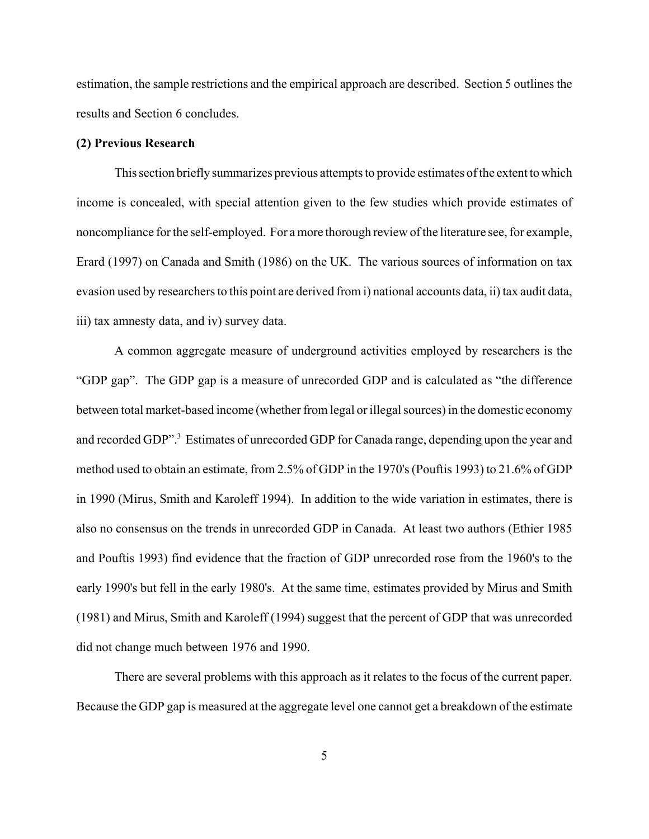estimation, the sample restrictions and the empirical approach are described. Section 5 outlines the results and Section 6 concludes.

## **(2) Previous Research**

This section briefly summarizes previous attempts to provide estimates of the extent to which income is concealed, with special attention given to the few studies which provide estimates of noncompliance for the self-employed. For a more thorough review of the literature see, for example, Erard (1997) on Canada and Smith (1986) on the UK. The various sources of information on tax evasion used by researchers to this point are derived from i) national accounts data, ii) tax audit data, iii) tax amnesty data, and iv) survey data.

A common aggregate measure of underground activities employed by researchers is the "GDP gap". The GDP gap is a measure of unrecorded GDP and is calculated as "the difference between total market-based income (whether from legal or illegal sources) in the domestic economy and recorded GDP".<sup>3</sup> Estimates of unrecorded GDP for Canada range, depending upon the year and method used to obtain an estimate, from 2.5% of GDP in the 1970's (Pouftis 1993) to 21.6% of GDP in 1990 (Mirus, Smith and Karoleff 1994). In addition to the wide variation in estimates, there is also no consensus on the trends in unrecorded GDP in Canada. At least two authors (Ethier 1985 and Pouftis 1993) find evidence that the fraction of GDP unrecorded rose from the 1960's to the early 1990's but fell in the early 1980's. At the same time, estimates provided by Mirus and Smith (1981) and Mirus, Smith and Karoleff (1994) suggest that the percent of GDP that was unrecorded did not change much between 1976 and 1990.

There are several problems with this approach as it relates to the focus of the current paper. Because the GDP gap is measured at the aggregate level one cannot get a breakdown of the estimate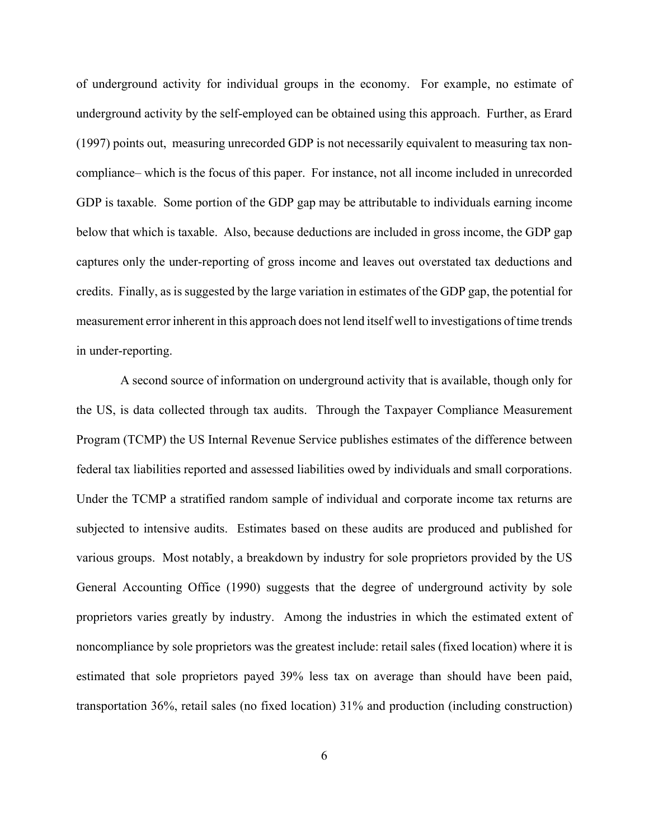of underground activity for individual groups in the economy. For example, no estimate of underground activity by the self-employed can be obtained using this approach. Further, as Erard (1997) points out, measuring unrecorded GDP is not necessarily equivalent to measuring tax noncompliance– which is the focus of this paper. For instance, not all income included in unrecorded GDP is taxable. Some portion of the GDP gap may be attributable to individuals earning income below that which is taxable. Also, because deductions are included in gross income, the GDP gap captures only the under-reporting of gross income and leaves out overstated tax deductions and credits. Finally, as is suggested by the large variation in estimates of the GDP gap, the potential for measurement error inherent in this approach does not lend itself well to investigations of time trends in under-reporting.

 A second source of information on underground activity that is available, though only for the US, is data collected through tax audits. Through the Taxpayer Compliance Measurement Program (TCMP) the US Internal Revenue Service publishes estimates of the difference between federal tax liabilities reported and assessed liabilities owed by individuals and small corporations. Under the TCMP a stratified random sample of individual and corporate income tax returns are subjected to intensive audits. Estimates based on these audits are produced and published for various groups. Most notably, a breakdown by industry for sole proprietors provided by the US General Accounting Office (1990) suggests that the degree of underground activity by sole proprietors varies greatly by industry. Among the industries in which the estimated extent of noncompliance by sole proprietors was the greatest include: retail sales (fixed location) where it is estimated that sole proprietors payed 39% less tax on average than should have been paid, transportation 36%, retail sales (no fixed location) 31% and production (including construction)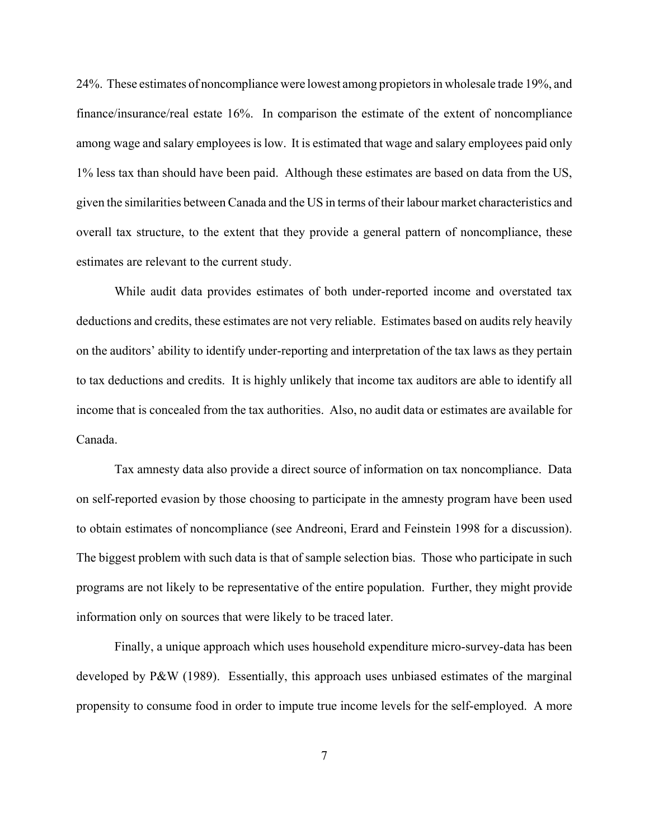24%. These estimates of noncompliance were lowest among propietors in wholesale trade 19%, and finance/insurance/real estate 16%. In comparison the estimate of the extent of noncompliance among wage and salary employees is low. It is estimated that wage and salary employees paid only 1% less tax than should have been paid. Although these estimates are based on data from the US, given the similarities between Canada and the US in terms of their labour market characteristics and overall tax structure, to the extent that they provide a general pattern of noncompliance, these estimates are relevant to the current study.

While audit data provides estimates of both under-reported income and overstated tax deductions and credits, these estimates are not very reliable. Estimates based on audits rely heavily on the auditors' ability to identify under-reporting and interpretation of the tax laws as they pertain to tax deductions and credits. It is highly unlikely that income tax auditors are able to identify all income that is concealed from the tax authorities. Also, no audit data or estimates are available for Canada.

Tax amnesty data also provide a direct source of information on tax noncompliance. Data on self-reported evasion by those choosing to participate in the amnesty program have been used to obtain estimates of noncompliance (see Andreoni, Erard and Feinstein 1998 for a discussion). The biggest problem with such data is that of sample selection bias. Those who participate in such programs are not likely to be representative of the entire population. Further, they might provide information only on sources that were likely to be traced later.

Finally, a unique approach which uses household expenditure micro-survey-data has been developed by P&W (1989). Essentially, this approach uses unbiased estimates of the marginal propensity to consume food in order to impute true income levels for the self-employed. A more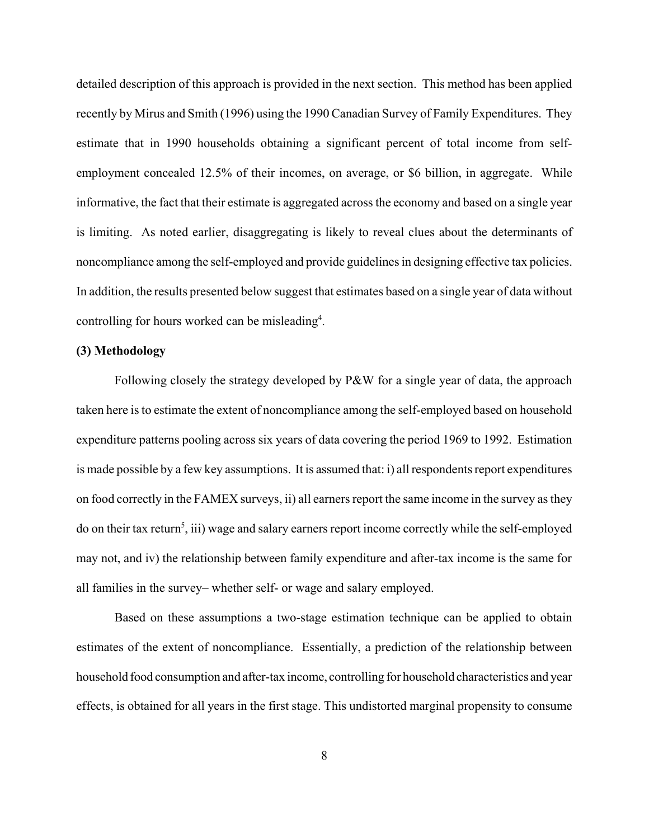detailed description of this approach is provided in the next section. This method has been applied recently by Mirus and Smith (1996) using the 1990 Canadian Survey of Family Expenditures. They estimate that in 1990 households obtaining a significant percent of total income from selfemployment concealed 12.5% of their incomes, on average, or \$6 billion, in aggregate. While informative, the fact that their estimate is aggregated across the economy and based on a single year is limiting. As noted earlier, disaggregating is likely to reveal clues about the determinants of noncompliance among the self-employed and provide guidelines in designing effective tax policies. In addition, the results presented below suggest that estimates based on a single year of data without controlling for hours worked can be misleading<sup>4</sup>.

## **(3) Methodology**

Following closely the strategy developed by P&W for a single year of data, the approach taken here is to estimate the extent of noncompliance among the self-employed based on household expenditure patterns pooling across six years of data covering the period 1969 to 1992. Estimation is made possible by a few key assumptions. It is assumed that: i) all respondents report expenditures on food correctly in the FAMEX surveys, ii) all earners report the same income in the survey as they do on their tax return<sup>5</sup>, iii) wage and salary earners report income correctly while the self-employed may not, and iv) the relationship between family expenditure and after-tax income is the same for all families in the survey– whether self- or wage and salary employed.

Based on these assumptions a two-stage estimation technique can be applied to obtain estimates of the extent of noncompliance. Essentially, a prediction of the relationship between household food consumption and after-tax income, controlling for household characteristics and year effects, is obtained for all years in the first stage. This undistorted marginal propensity to consume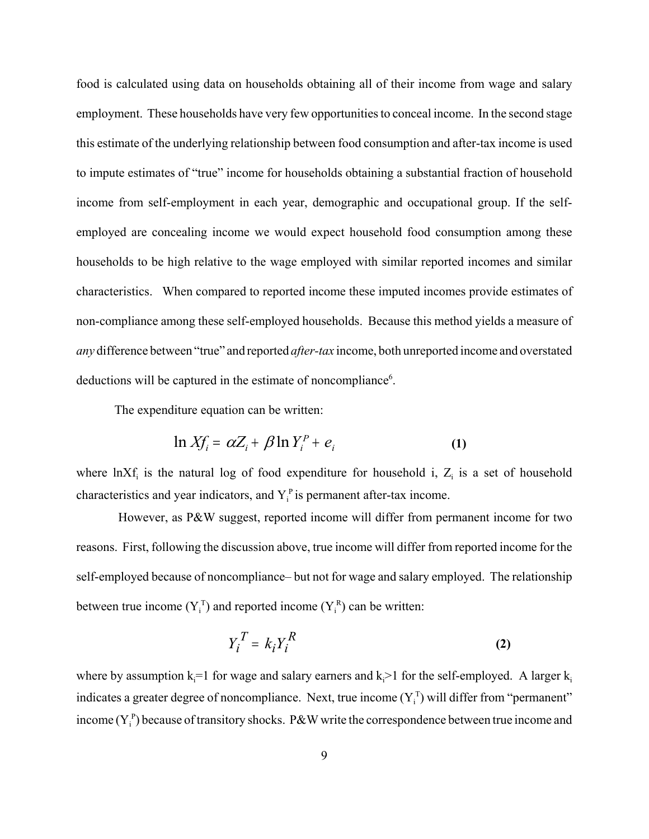food is calculated using data on households obtaining all of their income from wage and salary employment. These households have very few opportunities to conceal income. In the second stage this estimate of the underlying relationship between food consumption and after-tax income is used to impute estimates of "true" income for households obtaining a substantial fraction of household income from self-employment in each year, demographic and occupational group. If the selfemployed are concealing income we would expect household food consumption among these households to be high relative to the wage employed with similar reported incomes and similar characteristics. When compared to reported income these imputed incomes provide estimates of non-compliance among these self-employed households. Because this method yields a measure of *any* difference between "true" and reported *after-tax* income, both unreported income and overstated deductions will be captured in the estimate of noncompliance<sup>6</sup>.

The expenditure equation can be written:

$$
\ln X f_i = \alpha Z_i + \beta \ln Y_i^P + e_i \tag{1}
$$

where  $ln Xf_i$  is the natural log of food expenditure for household i,  $Z_i$  is a set of household characteristics and year indicators, and  $Y_i^p$  is permanent after-tax income.

 However, as P&W suggest, reported income will differ from permanent income for two reasons. First, following the discussion above, true income will differ from reported income for the self-employed because of noncompliance– but not for wage and salary employed. The relationship between true income  $(Y_i^T)$  and reported income  $(Y_i^R)$  can be written:

$$
Y_i^T = k_i Y_i^R \tag{2}
$$

where by assumption  $k_i=1$  for wage and salary earners and  $k_i>1$  for the self-employed. A larger  $k_i$ indicates a greater degree of noncompliance. Next, true income  $(Y_i^T)$  will differ from "permanent" income  $(Y_i^p)$  because of transitory shocks. P&W write the correspondence between true income and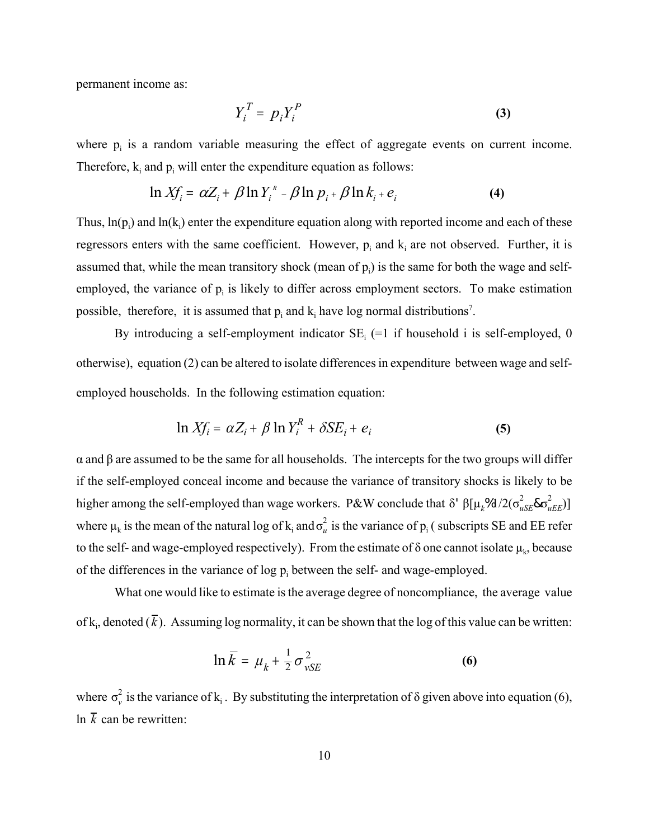permanent income as:

$$
Y_i^T = p_i Y_i^P \tag{3}
$$

where  $p_i$  is a random variable measuring the effect of aggregate events on current income. Therefore,  $k_i$  and  $p_i$  will enter the expenditure equation as follows:

$$
\ln X f_i = \alpha Z_i + \beta \ln Y_i^* - \beta \ln p_i + \beta \ln k_i + e_i \tag{4}
$$

Thus,  $\ln(p_i)$  and  $\ln(k_i)$  enter the expenditure equation along with reported income and each of these regressors enters with the same coefficient. However,  $p_i$  and  $k_i$  are not observed. Further, it is assumed that, while the mean transitory shock (mean of  $p_i$ ) is the same for both the wage and selfemployed, the variance of  $p_i$  is likely to differ across employment sectors. To make estimation possible, therefore, it is assumed that  $p_i$  and  $k_i$  have log normal distributions<sup>7</sup>.

By introducing a self-employment indicator  $SE_i$  (=1 if household i is self-employed, 0 otherwise), equation (2) can be altered to isolate differences in expenditure between wage and selfemployed households. In the following estimation equation:

$$
\ln X f_i = \alpha Z_i + \beta \ln Y_i^R + \delta S E_i + e_i \tag{5}
$$

α and β are assumed to be the same for all households. The intercepts for the two groups will differ if the self-employed conceal income and because the variance of transitory shocks is likely to be higher among the self-employed than wage workers. P&W conclude that δ'  $β[μ_k%d/2(σ_{uSE}^2&σ_{uEE}^2)]$ where  $\mu_k$  is the mean of the natural log of  $k_i$  and  $\sigma_u^2$  is the variance of  $p_i$  (subscripts SE and EE refer to the self- and wage-employed respectively). From the estimate of  $\delta$  one cannot isolate  $\mu_k$ , because of the differences in the variance of  $log p_i$  between the self- and wage-employed.

What one would like to estimate is the average degree of noncompliance, the average value of  $k_i$ , denoted ( $k$ ). Assuming log normality, it can be shown that the log of this value can be written:

$$
\ln \overline{k} = \mu_k + \frac{1}{2} \sigma_{vSE}^2
$$
 (6)

where  $\sigma_v^2$  is the variance of k<sub>i</sub>. By substituting the interpretation of  $\delta$  given above into equation (6), ln  $\overline{k}$  can be rewritten: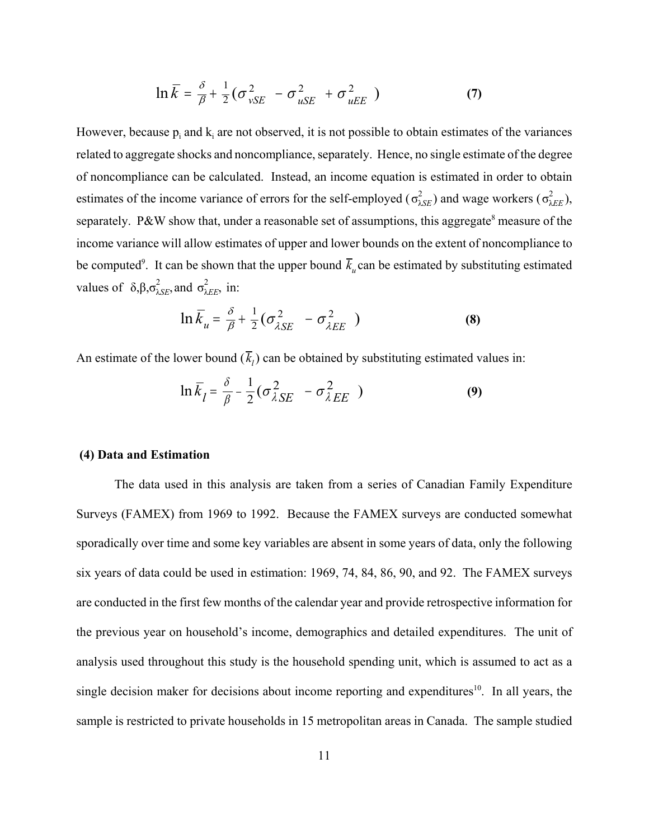$$
\ln \overline{k} = \frac{\delta}{\beta} + \frac{1}{2} \left( \sigma_{vSE}^2 - \sigma_{uSE}^2 + \sigma_{uEE}^2 \right) \tag{7}
$$

However, because  $p_i$  and  $k_i$  are not observed, it is not possible to obtain estimates of the variances related to aggregate shocks and noncompliance, separately. Hence, no single estimate of the degree of noncompliance can be calculated. Instead, an income equation is estimated in order to obtain estimates of the income variance of errors for the self-employed ( $\sigma_{\lambda SE}^2$ ) and wage workers ( $\sigma_{\lambda EE}^2$ ), λ*EE* separately. P&W show that, under a reasonable set of assumptions, this aggregate<sup>8</sup> measure of the income variance will allow estimates of upper and lower bounds on the extent of noncompliance to be computed<sup>9</sup>. It can be shown that the upper bound  $\bar{k}_u$  can be estimated by substituting estimated values of  $\delta, \beta, \sigma_{\lambda SE}^2$ , and  $\sigma_{\lambda EE}^2$ , in:

$$
\ln \overline{k}_u = \frac{\delta}{\beta} + \frac{1}{2} \left( \sigma_{\lambda SE}^2 - \sigma_{\lambda EE}^2 \right)
$$
 (8)

An estimate of the lower bound  $(\overline{k}_l)$  can be obtained by substituting estimated values in:

$$
\ln \bar{k}_l = \frac{\delta}{\beta} - \frac{1}{2} (\sigma_{\lambda SE}^2 - \sigma_{\lambda EE}^2)
$$
 (9)

## **(4) Data and Estimation**

The data used in this analysis are taken from a series of Canadian Family Expenditure Surveys (FAMEX) from 1969 to 1992. Because the FAMEX surveys are conducted somewhat sporadically over time and some key variables are absent in some years of data, only the following six years of data could be used in estimation: 1969, 74, 84, 86, 90, and 92. The FAMEX surveys are conducted in the first few months of the calendar year and provide retrospective information for the previous year on household's income, demographics and detailed expenditures. The unit of analysis used throughout this study is the household spending unit, which is assumed to act as a single decision maker for decisions about income reporting and expenditures<sup>10</sup>. In all years, the sample is restricted to private households in 15 metropolitan areas in Canada. The sample studied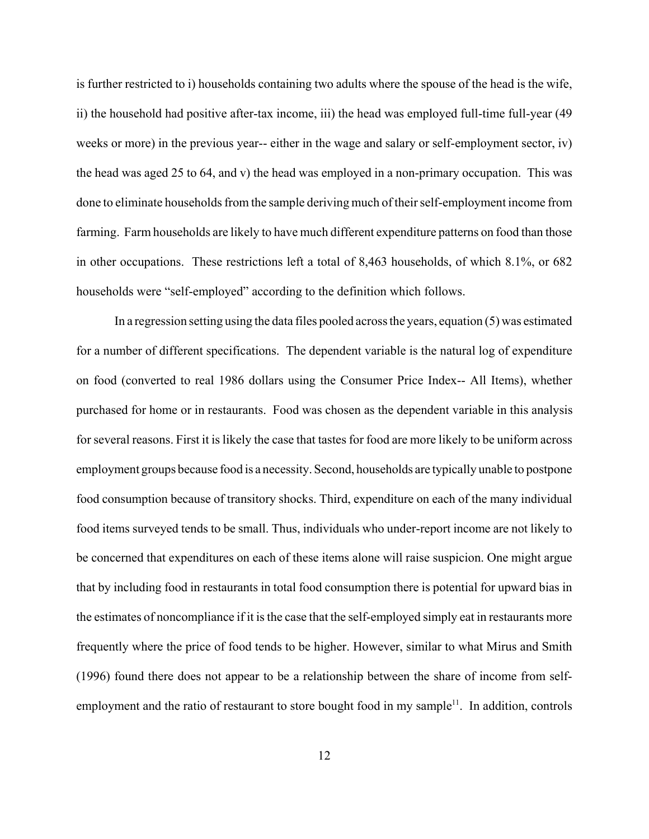is further restricted to i) households containing two adults where the spouse of the head is the wife, ii) the household had positive after-tax income, iii) the head was employed full-time full-year (49 weeks or more) in the previous year-- either in the wage and salary or self-employment sector, iv) the head was aged 25 to 64, and v) the head was employed in a non-primary occupation. This was done to eliminate households from the sample deriving much of their self-employment income from farming. Farm households are likely to have much different expenditure patterns on food than those in other occupations. These restrictions left a total of 8,463 households, of which 8.1%, or 682 households were "self-employed" according to the definition which follows.

In a regression setting using the data files pooled across the years, equation (5) was estimated for a number of different specifications. The dependent variable is the natural log of expenditure on food (converted to real 1986 dollars using the Consumer Price Index-- All Items), whether purchased for home or in restaurants. Food was chosen as the dependent variable in this analysis for several reasons. First it is likely the case that tastes for food are more likely to be uniform across employment groups because food is a necessity. Second, households are typically unable to postpone food consumption because of transitory shocks. Third, expenditure on each of the many individual food items surveyed tends to be small. Thus, individuals who under-report income are not likely to be concerned that expenditures on each of these items alone will raise suspicion. One might argue that by including food in restaurants in total food consumption there is potential for upward bias in the estimates of noncompliance if it is the case that the self-employed simply eat in restaurants more frequently where the price of food tends to be higher. However, similar to what Mirus and Smith (1996) found there does not appear to be a relationship between the share of income from selfemployment and the ratio of restaurant to store bought food in my sample<sup>11</sup>. In addition, controls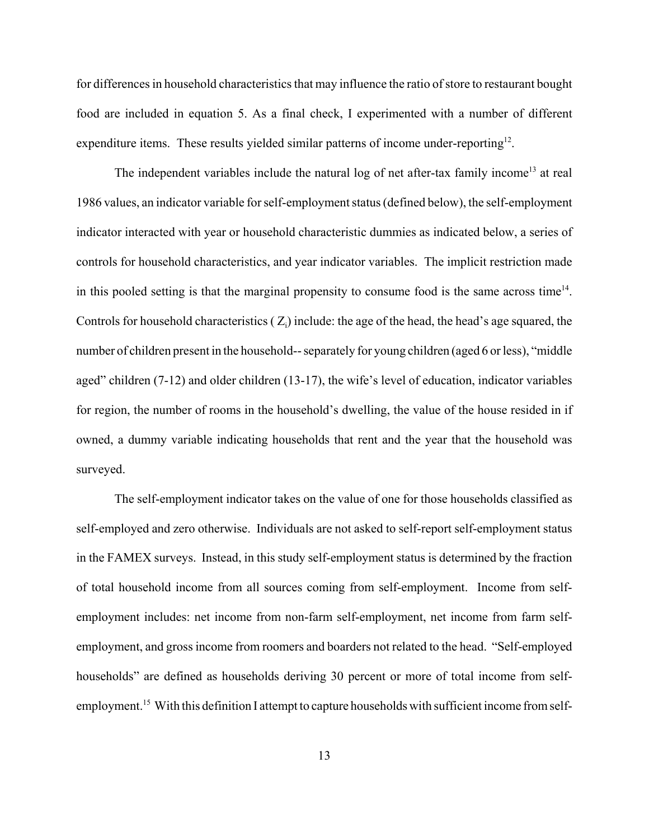for differences in household characteristics that may influence the ratio of store to restaurant bought food are included in equation 5. As a final check, I experimented with a number of different expenditure items. These results yielded similar patterns of income under-reporting<sup>12</sup>.

The independent variables include the natural log of net after-tax family income<sup>13</sup> at real 1986 values, an indicator variable for self-employment status (defined below), the self-employment indicator interacted with year or household characteristic dummies as indicated below, a series of controls for household characteristics, and year indicator variables. The implicit restriction made in this pooled setting is that the marginal propensity to consume food is the same across time<sup>14</sup>. Controls for household characteristics  $(Z_i)$  include: the age of the head, the head's age squared, the number of children present in the household-- separately for young children (aged 6 or less), "middle aged" children (7-12) and older children (13-17), the wife's level of education, indicator variables for region, the number of rooms in the household's dwelling, the value of the house resided in if owned, a dummy variable indicating households that rent and the year that the household was surveyed.

The self-employment indicator takes on the value of one for those households classified as self-employed and zero otherwise. Individuals are not asked to self-report self-employment status in the FAMEX surveys. Instead, in this study self-employment status is determined by the fraction of total household income from all sources coming from self-employment. Income from selfemployment includes: net income from non-farm self-employment, net income from farm selfemployment, and gross income from roomers and boarders not related to the head. "Self-employed households" are defined as households deriving 30 percent or more of total income from selfemployment.<sup>15</sup> With this definition I attempt to capture households with sufficient income from self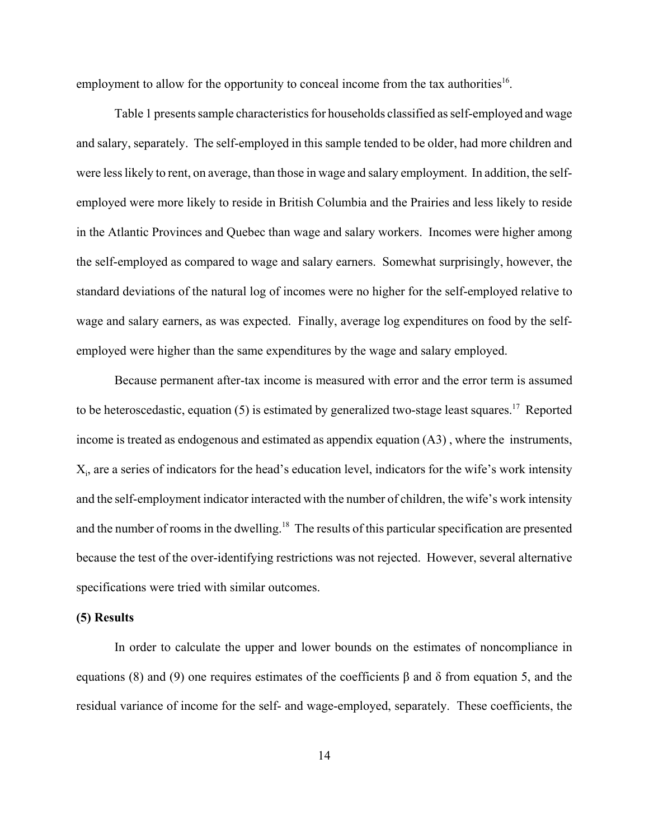employment to allow for the opportunity to conceal income from the tax authorities<sup>16</sup>.

Table 1 presents sample characteristics for households classified as self-employed and wage and salary, separately. The self-employed in this sample tended to be older, had more children and were less likely to rent, on average, than those in wage and salary employment. In addition, the selfemployed were more likely to reside in British Columbia and the Prairies and less likely to reside in the Atlantic Provinces and Quebec than wage and salary workers. Incomes were higher among the self-employed as compared to wage and salary earners. Somewhat surprisingly, however, the standard deviations of the natural log of incomes were no higher for the self-employed relative to wage and salary earners, as was expected. Finally, average log expenditures on food by the selfemployed were higher than the same expenditures by the wage and salary employed.

Because permanent after-tax income is measured with error and the error term is assumed to be heteroscedastic, equation (5) is estimated by generalized two-stage least squares.<sup>17</sup> Reported income is treated as endogenous and estimated as appendix equation (A3) , where the instruments,  $X_i$ , are a series of indicators for the head's education level, indicators for the wife's work intensity and the self-employment indicator interacted with the number of children, the wife's work intensity and the number of rooms in the dwelling.<sup>18</sup> The results of this particular specification are presented because the test of the over-identifying restrictions was not rejected. However, several alternative specifications were tried with similar outcomes.

## **(5) Results**

In order to calculate the upper and lower bounds on the estimates of noncompliance in equations (8) and (9) one requires estimates of the coefficients β and δ from equation 5, and the residual variance of income for the self- and wage-employed, separately. These coefficients, the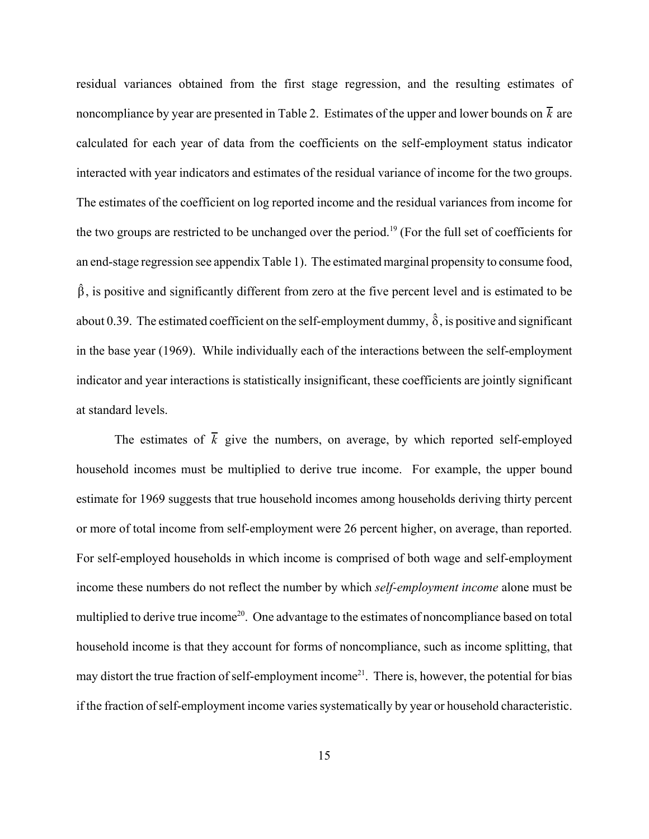residual variances obtained from the first stage regression, and the resulting estimates of noncompliance by year are presented in Table 2. Estimates of the upper and lower bounds on  $\bar{k}$  are calculated for each year of data from the coefficients on the self-employment status indicator interacted with year indicators and estimates of the residual variance of income for the two groups. The estimates of the coefficient on log reported income and the residual variances from income for the two groups are restricted to be unchanged over the period.<sup>19</sup> (For the full set of coefficients for an end-stage regression see appendix Table 1). The estimated marginal propensity to consume food,  $\hat{\beta}$ , is positive and significantly different from zero at the five percent level and is estimated to be about 0.39. The estimated coefficient on the self-employment dummy,  $\hat{\delta}$ , is positive and significant in the base year (1969). While individually each of the interactions between the self-employment indicator and year interactions is statistically insignificant, these coefficients are jointly significant at standard levels.

The estimates of  $\overline{k}$  give the numbers, on average, by which reported self-employed household incomes must be multiplied to derive true income. For example, the upper bound estimate for 1969 suggests that true household incomes among households deriving thirty percent or more of total income from self-employment were 26 percent higher, on average, than reported. For self-employed households in which income is comprised of both wage and self-employment income these numbers do not reflect the number by which *self-employment income* alone must be multiplied to derive true income<sup>20</sup>. One advantage to the estimates of noncompliance based on total household income is that they account for forms of noncompliance, such as income splitting, that may distort the true fraction of self-employment income<sup>21</sup>. There is, however, the potential for bias if the fraction of self-employment income varies systematically by year or household characteristic.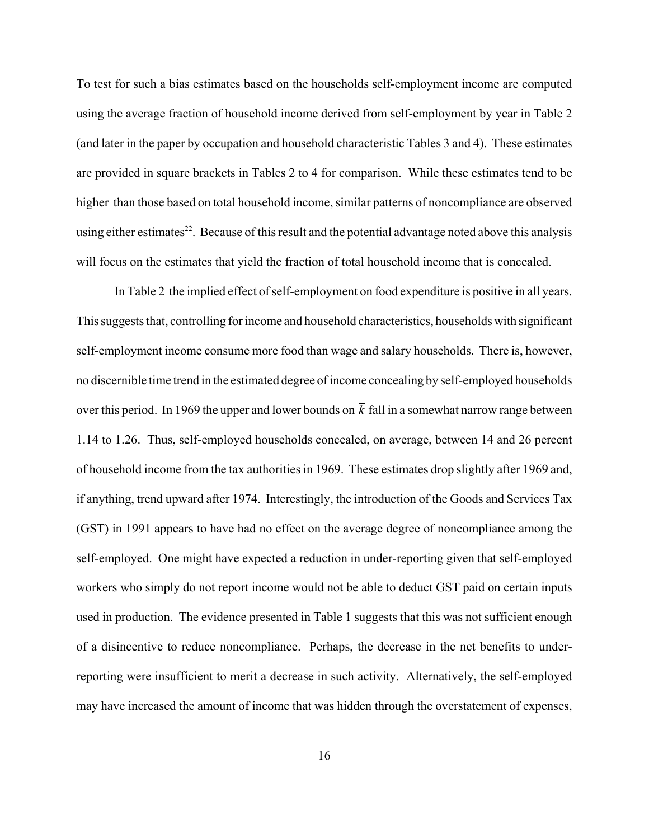To test for such a bias estimates based on the households self-employment income are computed using the average fraction of household income derived from self-employment by year in Table 2 (and later in the paper by occupation and household characteristic Tables 3 and 4). These estimates are provided in square brackets in Tables 2 to 4 for comparison. While these estimates tend to be higher than those based on total household income, similar patterns of noncompliance are observed using either estimates<sup>22</sup>. Because of this result and the potential advantage noted above this analysis will focus on the estimates that yield the fraction of total household income that is concealed.

In Table 2 the implied effect of self-employment on food expenditure is positive in all years. This suggests that, controlling for income and household characteristics, households with significant self-employment income consume more food than wage and salary households. There is, however, no discernible time trend in the estimated degree of income concealing by self-employed households over this period. In 1969 the upper and lower bounds on  $\overline{k}$  fall in a somewhat narrow range between 1.14 to 1.26. Thus, self-employed households concealed, on average, between 14 and 26 percent of household income from the tax authorities in 1969. These estimates drop slightly after 1969 and, if anything, trend upward after 1974. Interestingly, the introduction of the Goods and Services Tax (GST) in 1991 appears to have had no effect on the average degree of noncompliance among the self-employed. One might have expected a reduction in under-reporting given that self-employed workers who simply do not report income would not be able to deduct GST paid on certain inputs used in production. The evidence presented in Table 1 suggests that this was not sufficient enough of a disincentive to reduce noncompliance. Perhaps, the decrease in the net benefits to underreporting were insufficient to merit a decrease in such activity. Alternatively, the self-employed may have increased the amount of income that was hidden through the overstatement of expenses,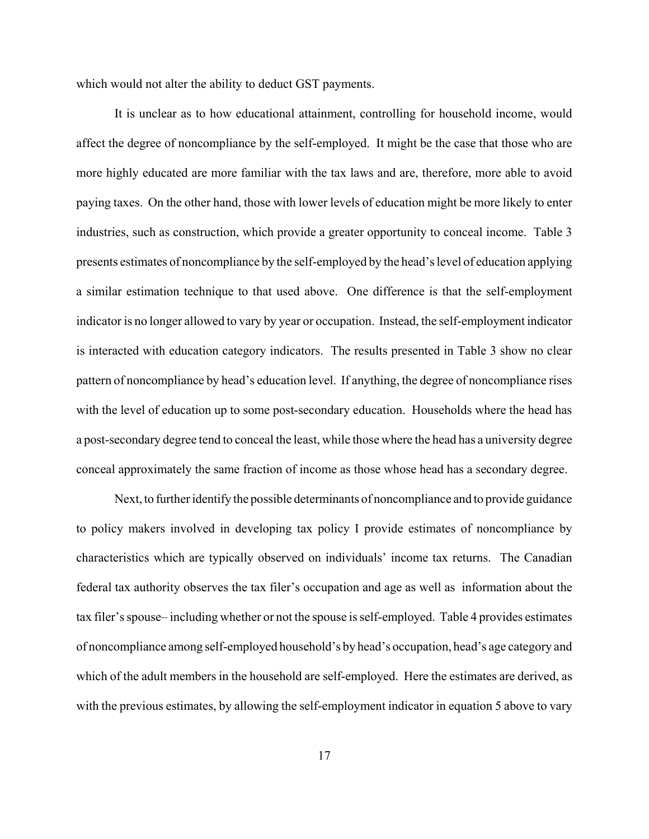which would not alter the ability to deduct GST payments.

It is unclear as to how educational attainment, controlling for household income, would affect the degree of noncompliance by the self-employed. It might be the case that those who are more highly educated are more familiar with the tax laws and are, therefore, more able to avoid paying taxes. On the other hand, those with lower levels of education might be more likely to enter industries, such as construction, which provide a greater opportunity to conceal income. Table 3 presents estimates of noncompliance by the self-employed by the head's level of education applying a similar estimation technique to that used above. One difference is that the self-employment indicator is no longer allowed to vary by year or occupation. Instead, the self-employment indicator is interacted with education category indicators. The results presented in Table 3 show no clear pattern of noncompliance by head's education level. If anything, the degree of noncompliance rises with the level of education up to some post-secondary education. Households where the head has a post-secondary degree tend to conceal the least, while those where the head has a university degree conceal approximately the same fraction of income as those whose head has a secondary degree.

Next, to further identify the possible determinants of noncompliance and to provide guidance to policy makers involved in developing tax policy I provide estimates of noncompliance by characteristics which are typically observed on individuals' income tax returns. The Canadian federal tax authority observes the tax filer's occupation and age as well as information about the tax filer's spouse– including whether or not the spouse is self-employed. Table 4 provides estimates of noncompliance among self-employed household's by head's occupation, head's age category and which of the adult members in the household are self-employed. Here the estimates are derived, as with the previous estimates, by allowing the self-employment indicator in equation 5 above to vary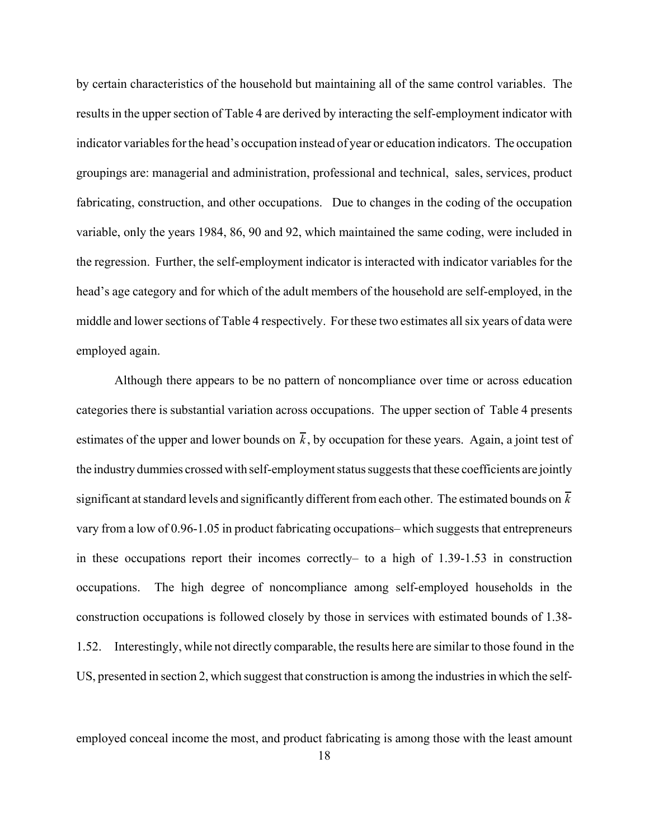by certain characteristics of the household but maintaining all of the same control variables. The results in the upper section of Table 4 are derived by interacting the self-employment indicator with indicator variables for the head's occupation instead of year or education indicators. The occupation groupings are: managerial and administration, professional and technical, sales, services, product fabricating, construction, and other occupations. Due to changes in the coding of the occupation variable, only the years 1984, 86, 90 and 92, which maintained the same coding, were included in the regression. Further, the self-employment indicator is interacted with indicator variables for the head's age category and for which of the adult members of the household are self-employed, in the middle and lower sections of Table 4 respectively. For these two estimates all six years of data were employed again.

Although there appears to be no pattern of noncompliance over time or across education categories there is substantial variation across occupations. The upper section of Table 4 presents estimates of the upper and lower bounds on  $\bar{k}$ , by occupation for these years. Again, a joint test of the industry dummies crossed with self-employment status suggests that these coefficients are jointly significant at standard levels and significantly different from each other. The estimated bounds on *k* vary from a low of 0.96-1.05 in product fabricating occupations– which suggests that entrepreneurs in these occupations report their incomes correctly– to a high of 1.39-1.53 in construction occupations. The high degree of noncompliance among self-employed households in the construction occupations is followed closely by those in services with estimated bounds of 1.38- 1.52. Interestingly, while not directly comparable, the results here are similar to those found in the US, presented in section 2, which suggest that construction is among the industries in which the self-

employed conceal income the most, and product fabricating is among those with the least amount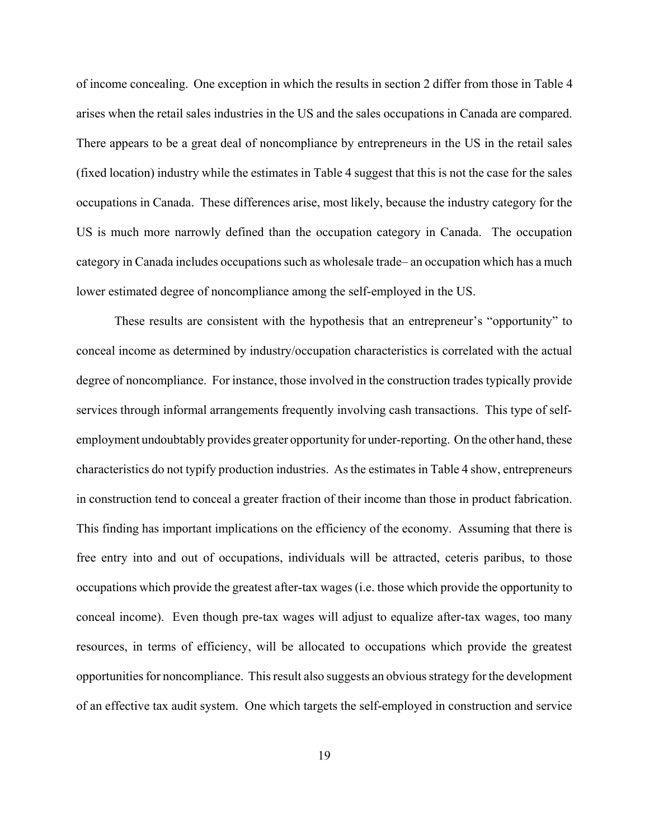of income concealing. One exception in which the results in section 2 differ from those in Table 4 arises when the retail sales industries in the US and the sales occupations in Canada are compared. There appears to be a great deal of noncompliance by entrepreneurs in the US in the retail sales (fixed location) industry while the estimates in Table 4 suggest that this is not the case for the sales occupations in Canada. These differences arise, most likely, because the industry category for the US is much more narrowly defined than the occupation category in Canada. The occupation category in Canada includes occupations such as wholesale trade– an occupation which has a much lower estimated degree of noncompliance among the self-employed in the US.

These results are consistent with the hypothesis that an entrepreneur's "opportunity" to conceal income as determined by industry/occupation characteristics is correlated with the actual degree of noncompliance. For instance, those involved in the construction trades typically provide services through informal arrangements frequently involving cash transactions. This type of selfemployment undoubtably provides greater opportunity for under-reporting. On the other hand, these characteristics do not typify production industries. As the estimates in Table 4 show, entrepreneurs in construction tend to conceal a greater fraction of their income than those in product fabrication. This finding has important implications on the efficiency of the economy. Assuming that there is free entry into and out of occupations, individuals will be attracted, ceteris paribus, to those occupations which provide the greatest after-tax wages (i.e. those which provide the opportunity to conceal income). Even though pre-tax wages will adjust to equalize after-tax wages, too many resources, in terms of efficiency, will be allocated to occupations which provide the greatest opportunities for noncompliance. This result also suggests an obvious strategy for the development of an effective tax audit system. One which targets the self-employed in construction and service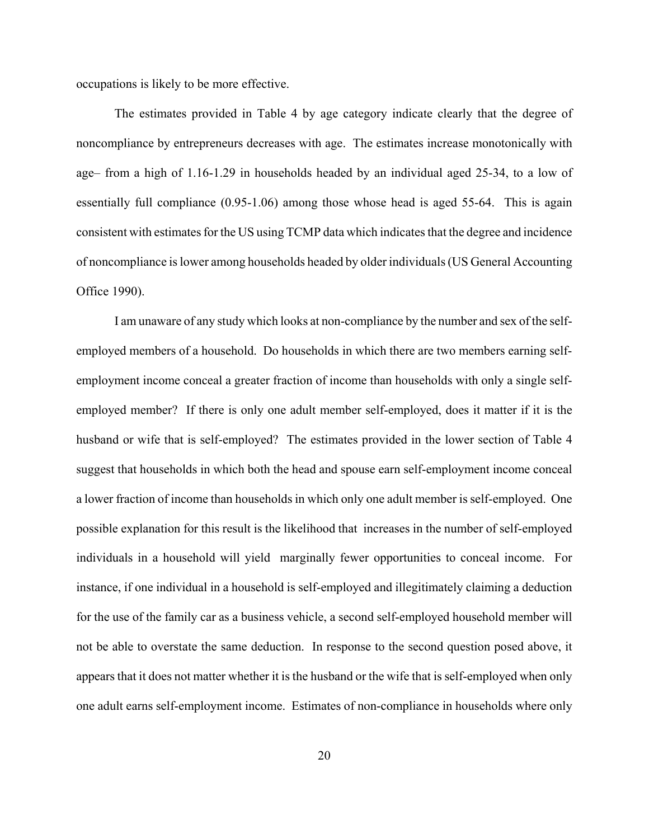occupations is likely to be more effective.

The estimates provided in Table 4 by age category indicate clearly that the degree of noncompliance by entrepreneurs decreases with age. The estimates increase monotonically with age– from a high of 1.16-1.29 in households headed by an individual aged 25-34, to a low of essentially full compliance (0.95-1.06) among those whose head is aged 55-64. This is again consistent with estimates for the US using TCMP data which indicates that the degree and incidence of noncompliance is lower among households headed by older individuals (US General Accounting Office 1990).

I am unaware of any study which looks at non-compliance by the number and sex of the selfemployed members of a household. Do households in which there are two members earning selfemployment income conceal a greater fraction of income than households with only a single selfemployed member? If there is only one adult member self-employed, does it matter if it is the husband or wife that is self-employed? The estimates provided in the lower section of Table 4 suggest that households in which both the head and spouse earn self-employment income conceal a lower fraction of income than households in which only one adult member is self-employed. One possible explanation for this result is the likelihood that increases in the number of self-employed individuals in a household will yield marginally fewer opportunities to conceal income. For instance, if one individual in a household is self-employed and illegitimately claiming a deduction for the use of the family car as a business vehicle, a second self-employed household member will not be able to overstate the same deduction. In response to the second question posed above, it appears that it does not matter whether it is the husband or the wife that is self-employed when only one adult earns self-employment income. Estimates of non-compliance in households where only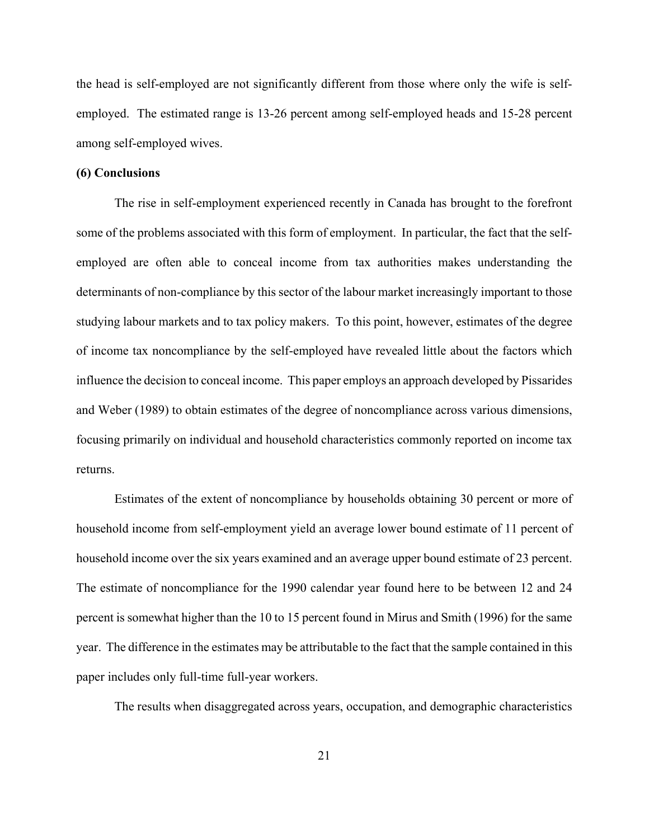the head is self-employed are not significantly different from those where only the wife is selfemployed. The estimated range is 13-26 percent among self-employed heads and 15-28 percent among self-employed wives.

#### **(6) Conclusions**

The rise in self-employment experienced recently in Canada has brought to the forefront some of the problems associated with this form of employment. In particular, the fact that the selfemployed are often able to conceal income from tax authorities makes understanding the determinants of non-compliance by this sector of the labour market increasingly important to those studying labour markets and to tax policy makers. To this point, however, estimates of the degree of income tax noncompliance by the self-employed have revealed little about the factors which influence the decision to conceal income. This paper employs an approach developed by Pissarides and Weber (1989) to obtain estimates of the degree of noncompliance across various dimensions, focusing primarily on individual and household characteristics commonly reported on income tax returns.

Estimates of the extent of noncompliance by households obtaining 30 percent or more of household income from self-employment yield an average lower bound estimate of 11 percent of household income over the six years examined and an average upper bound estimate of 23 percent. The estimate of noncompliance for the 1990 calendar year found here to be between 12 and 24 percent is somewhat higher than the 10 to 15 percent found in Mirus and Smith (1996) for the same year. The difference in the estimates may be attributable to the fact that the sample contained in this paper includes only full-time full-year workers.

The results when disaggregated across years, occupation, and demographic characteristics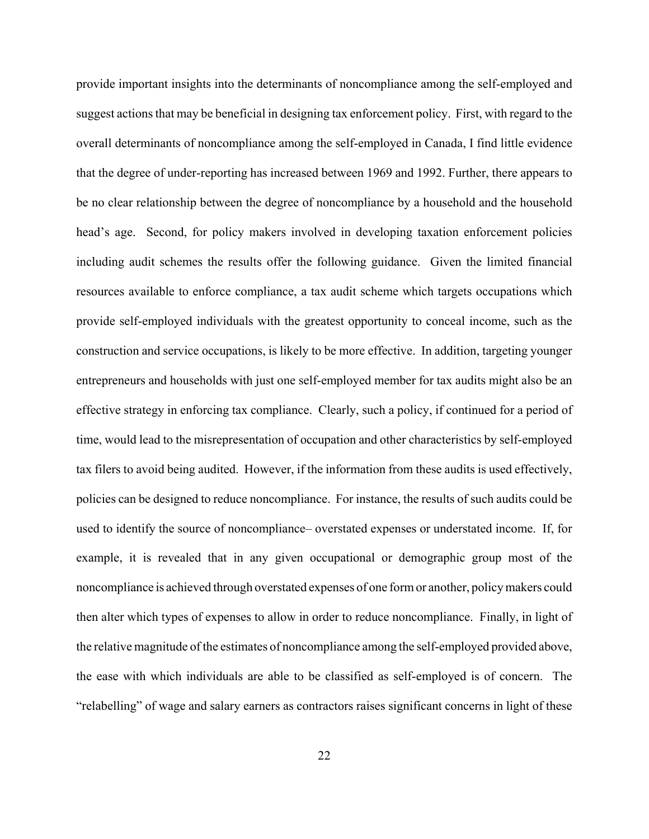provide important insights into the determinants of noncompliance among the self-employed and suggest actions that may be beneficial in designing tax enforcement policy. First, with regard to the overall determinants of noncompliance among the self-employed in Canada, I find little evidence that the degree of under-reporting has increased between 1969 and 1992. Further, there appears to be no clear relationship between the degree of noncompliance by a household and the household head's age. Second, for policy makers involved in developing taxation enforcement policies including audit schemes the results offer the following guidance. Given the limited financial resources available to enforce compliance, a tax audit scheme which targets occupations which provide self-employed individuals with the greatest opportunity to conceal income, such as the construction and service occupations, is likely to be more effective. In addition, targeting younger entrepreneurs and households with just one self-employed member for tax audits might also be an effective strategy in enforcing tax compliance. Clearly, such a policy, if continued for a period of time, would lead to the misrepresentation of occupation and other characteristics by self-employed tax filers to avoid being audited. However, if the information from these audits is used effectively, policies can be designed to reduce noncompliance. For instance, the results of such audits could be used to identify the source of noncompliance– overstated expenses or understated income. If, for example, it is revealed that in any given occupational or demographic group most of the noncompliance is achieved through overstated expenses of one form or another, policy makers could then alter which types of expenses to allow in order to reduce noncompliance. Finally, in light of the relative magnitude of the estimates of noncompliance among the self-employed provided above, the ease with which individuals are able to be classified as self-employed is of concern. The "relabelling" of wage and salary earners as contractors raises significant concerns in light of these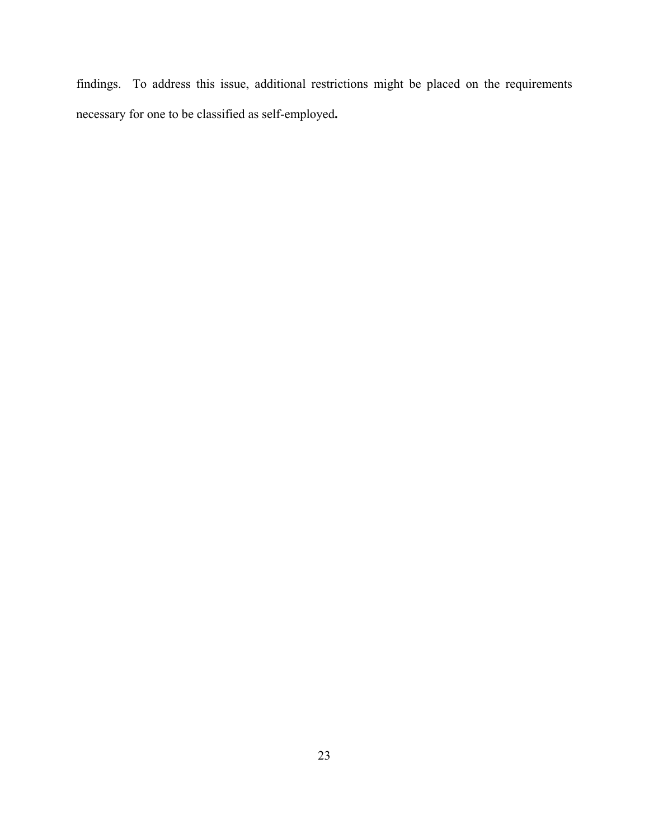findings. To address this issue, additional restrictions might be placed on the requirements necessary for one to be classified as self-employed**.**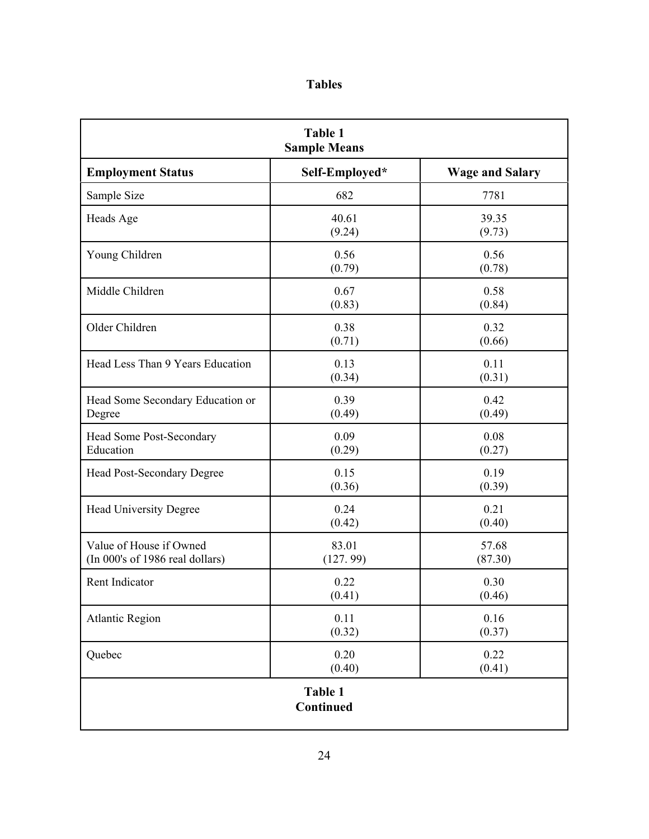|  | I<br>۰, |
|--|---------|
|  |         |

| <b>Table 1</b><br><b>Sample Means</b>                      |                   |                        |
|------------------------------------------------------------|-------------------|------------------------|
| <b>Employment Status</b>                                   | Self-Employed*    | <b>Wage and Salary</b> |
| Sample Size                                                | 682               | 7781                   |
| Heads Age                                                  | 40.61<br>(9.24)   | 39.35<br>(9.73)        |
| Young Children                                             | 0.56<br>(0.79)    | 0.56<br>(0.78)         |
| Middle Children                                            | 0.67<br>(0.83)    | 0.58<br>(0.84)         |
| Older Children                                             | 0.38<br>(0.71)    | 0.32<br>(0.66)         |
| Head Less Than 9 Years Education                           | 0.13<br>(0.34)    | 0.11<br>(0.31)         |
| Head Some Secondary Education or<br>Degree                 | 0.39<br>(0.49)    | 0.42<br>(0.49)         |
| Head Some Post-Secondary<br>Education                      | 0.09<br>(0.29)    | 0.08<br>(0.27)         |
| <b>Head Post-Secondary Degree</b>                          | 0.15<br>(0.36)    | 0.19<br>(0.39)         |
| Head University Degree                                     | 0.24<br>(0.42)    | 0.21<br>(0.40)         |
| Value of House if Owned<br>(In 000's of 1986 real dollars) | 83.01<br>(127.99) | 57.68<br>(87.30)       |
| Rent Indicator                                             | 0.22<br>(0.41)    | 0.30<br>(0.46)         |
| <b>Atlantic Region</b>                                     | 0.11<br>(0.32)    | 0.16<br>(0.37)         |
| Quebec                                                     | 0.20<br>(0.40)    | 0.22<br>(0.41)         |
| Table 1<br>Continued                                       |                   |                        |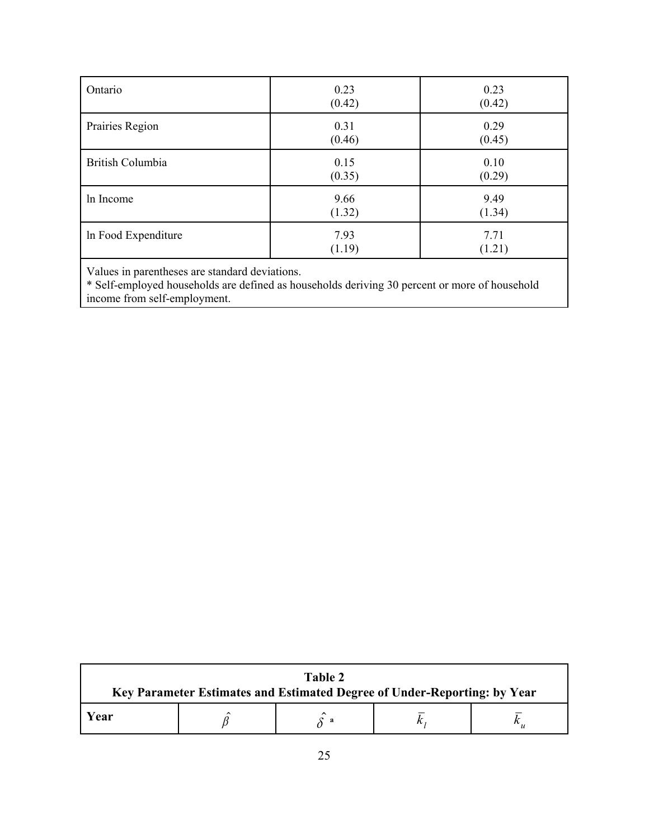| Ontario             | 0.23<br>(0.42) | 0.23<br>(0.42) |
|---------------------|----------------|----------------|
| Prairies Region     | 0.31<br>(0.46) | 0.29<br>(0.45) |
| British Columbia    | 0.15<br>(0.35) | 0.10<br>(0.29) |
| In Income           | 9.66<br>(1.32) | 9.49<br>(1.34) |
| In Food Expenditure | 7.93<br>(1.19) | 7.71<br>(1.21) |

Values in parentheses are standard deviations.

\* Self-employed households are defined as households deriving 30 percent or more of household income from self-employment.

| Table 2<br>Key Parameter Estimates and Estimated Degree of Under-Reporting: by Year |  |   |  |  |
|-------------------------------------------------------------------------------------|--|---|--|--|
| <b>Year</b>                                                                         |  | a |  |  |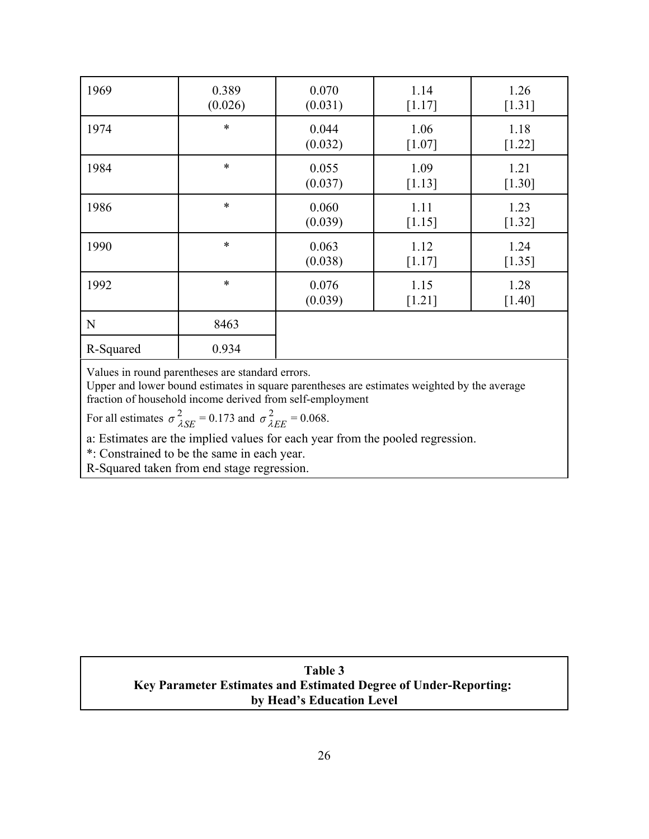| 1969      | 0.389<br>(0.026) | 0.070<br>(0.031) | 1.14<br>[1.17]   | 1.26<br>$[1.31]$ |
|-----------|------------------|------------------|------------------|------------------|
| 1974      | $\ast$           | 0.044<br>(0.032) | 1.06<br>$[1.07]$ | 1.18<br>$[1.22]$ |
| 1984      | $\ast$           | 0.055<br>(0.037) | 1.09<br>$[1.13]$ | 1.21<br>$[1.30]$ |
| 1986      | $\ast$           | 0.060<br>(0.039) | 1.11<br>[1.15]   | 1.23<br>$[1.32]$ |
| 1990      | $\ast$           | 0.063<br>(0.038) | 1.12<br>[1.17]   | 1.24<br>$[1.35]$ |
| 1992      | $\ast$           | 0.076<br>(0.039) | 1.15<br>$[1.21]$ | 1.28<br>$[1.40]$ |
| ${\bf N}$ | 8463             |                  |                  |                  |
| R-Squared | 0.934            |                  |                  |                  |

Values in round parentheses are standard errors.

Upper and lower bound estimates in square parentheses are estimates weighted by the average fraction of household income derived from self-employment

For all estimates  $\sigma_{\lambda SE}^2 = 0.173$  and  $\sigma_{\lambda EE}^2 = 0.068$ .  $SE$ <sup>= 0.1</sup>/3 and  $\sigma_{\lambda}$ 2 *EE*

a: Estimates are the implied values for each year from the pooled regression.

\*: Constrained to be the same in each year.

R-Squared taken from end stage regression.

## **Table 3 Key Parameter Estimates and Estimated Degree of Under-Reporting: by Head's Education Level**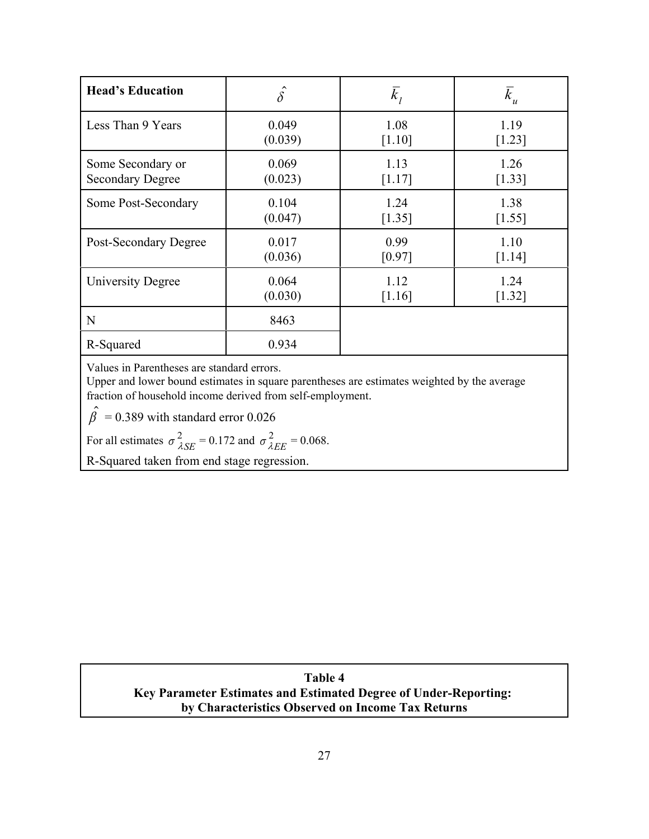| <b>Head's Education</b>  | $\hat{\delta}$ | $\overline{k}_I$ | $\overline{k}_u$ |
|--------------------------|----------------|------------------|------------------|
| Less Than 9 Years        | 0.049          | 1.08             | 1.19             |
|                          | (0.039)        | [1.10]           | [1.23]           |
| Some Secondary or        | 0.069          | 1.13             | 1.26             |
| <b>Secondary Degree</b>  | (0.023)        | [1.17]           | [1.33]           |
| Some Post-Secondary      | 0.104          | 1.24             | 1.38             |
|                          | (0.047)        | [1.35]           | [1.55]           |
| Post-Secondary Degree    | 0.017          | 0.99             | 1.10             |
|                          | (0.036)        | [0.97]           | [1.14]           |
| <b>University Degree</b> | 0.064          | 1.12             | 1.24             |
|                          | (0.030)        | [1.16]           | [1.32]           |
| N                        | 8463           |                  |                  |
| R-Squared                | 0.934          |                  |                  |

Values in Parentheses are standard errors.

Upper and lower bound estimates in square parentheses are estimates weighted by the average fraction of household income derived from self-employment.

 $\hat{\beta}$  = 0.389 with standard error 0.026

For all estimates  $\sigma_{\lambda SE}^2 = 0.172$  and  $\sigma_{\lambda EE}^2 = 0.068$ .  $SE$ <sup>= 0.1</sup>/2 and  $\sigma_{\lambda}$ 2 *EE*

R-Squared taken from end stage regression.

**Table 4 Key Parameter Estimates and Estimated Degree of Under-Reporting: by Characteristics Observed on Income Tax Returns**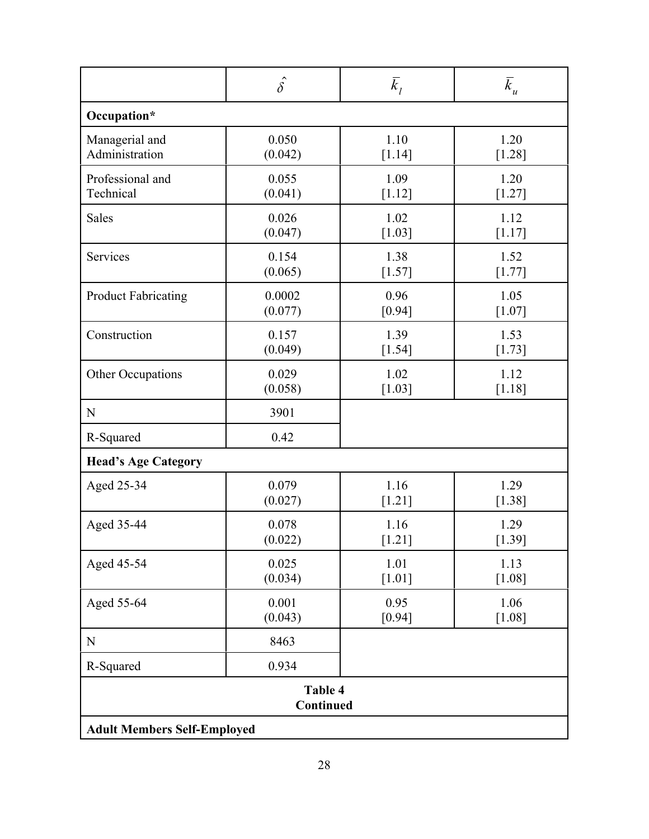|                                                            | $\hat{\delta}$ | $\overline{k}_l$ | $\bar{k}_u$ |  |
|------------------------------------------------------------|----------------|------------------|-------------|--|
| Occupation*                                                |                |                  |             |  |
| Managerial and                                             | 0.050          | 1.10             | 1.20        |  |
| Administration                                             | (0.042)        | [1.14]           | [1.28]      |  |
| Professional and                                           | 0.055          | 1.09             | 1.20        |  |
| Technical                                                  | (0.041)        | [1.12]           | $[1.27]$    |  |
| Sales                                                      | 0.026          | 1.02             | 1.12        |  |
|                                                            | (0.047)        | [1.03]           | [1.17]      |  |
| Services                                                   | 0.154          | 1.38             | 1.52        |  |
|                                                            | (0.065)        | $[1.57]$         | $[1.77]$    |  |
| <b>Product Fabricating</b>                                 | 0.0002         | 0.96             | 1.05        |  |
|                                                            | (0.077)        | $[0.94]$         | $[1.07]$    |  |
| Construction                                               | 0.157          | 1.39             | 1.53        |  |
|                                                            | (0.049)        | $[1.54]$         | $[1.73]$    |  |
| Other Occupations                                          | 0.029          | 1.02             | 1.12        |  |
|                                                            | (0.058)        | $[1.03]$         | $[1.18]$    |  |
| ${\bf N}$                                                  | 3901           |                  |             |  |
| R-Squared                                                  | 0.42           |                  |             |  |
| <b>Head's Age Category</b>                                 |                |                  |             |  |
| Aged 25-34                                                 | 0.079          | 1.16             | 1.29        |  |
|                                                            | (0.027)        | $[1.21]$         | $[1.38]$    |  |
| Aged 35-44                                                 | 0.078          | 1.16             | 1.29        |  |
|                                                            | (0.022)        | $[1.21]$         | [1.39]      |  |
| Aged 45-54                                                 | 0.025          | 1.01             | 1.13        |  |
|                                                            | (0.034)        | $[1.01]$         | $[1.08]$    |  |
| Aged 55-64                                                 | 0.001          | 0.95             | 1.06        |  |
|                                                            | (0.043)        | [0.94]           | [1.08]      |  |
| $\mathbf N$                                                | 8463           |                  |             |  |
| R-Squared                                                  | 0.934          |                  |             |  |
| Table 4<br>Continued<br><b>Adult Members Self-Employed</b> |                |                  |             |  |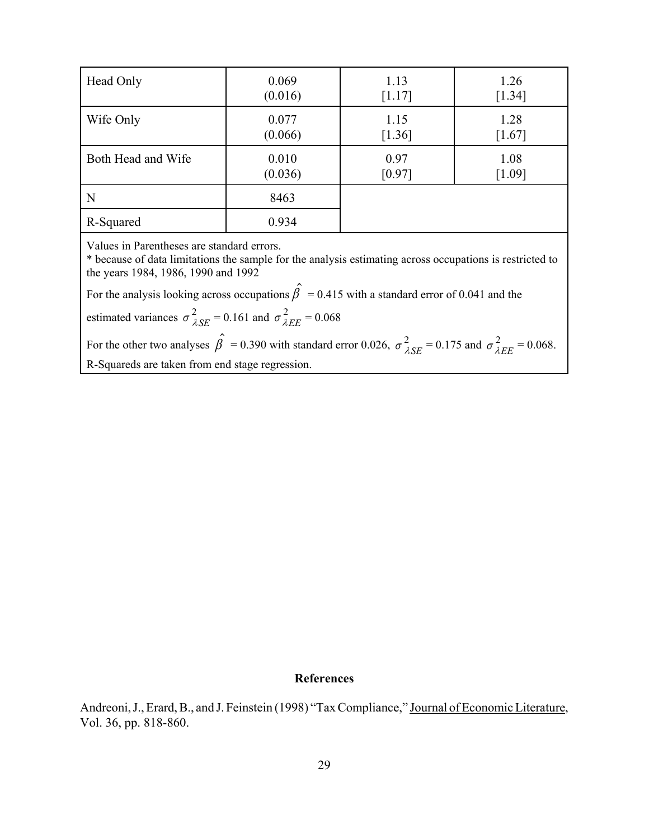| Head Only          | 0.069   | 1.13   | 1.26     |
|--------------------|---------|--------|----------|
|                    | (0.016) | [1.17] | [1.34]   |
| Wife Only          | 0.077   | 1.15   | 1.28     |
|                    | (0.066) | [1.36] | $[1.67]$ |
| Both Head and Wife | 0.010   | 0.97   | 1.08     |
|                    | (0.036) | [0.97] | [1.09]   |
| N                  | 8463    |        |          |
| R-Squared          | 0.934   |        |          |

Values in Parentheses are standard errors.

\* because of data limitations the sample for the analysis estimating across occupations is restricted to the years 1984, 1986, 1990 and 1992

For the analysis looking across occupations  $\hat{\beta} = 0.415$  with a standard error of 0.041 and the

estimated variances  $\sigma_{\lambda SE}^2 = 0.161$  and  $\sigma_{\lambda EE}^2 = 0.068$  $SE$ <sup>= 0.161 and  $\sigma_{\lambda}$ </sup> 2 *EE*

For the other two analyses  $\hat{\beta} = 0.390$  with standard error 0.026,  $\sigma_{\lambda SE}^2 = 0.175$  and  $\sigma_{\lambda EE}^2 = 0.068$ .  $SE$ <sup>= 0.1</sup>/5 and  $\sigma_{\lambda}$ 2 *EE* R-Squareds are taken from end stage regression.

### **References**

Andreoni, J., Erard, B., and J. Feinstein (1998) "Tax Compliance," Journal of Economic Literature, Vol. 36, pp. 818-860.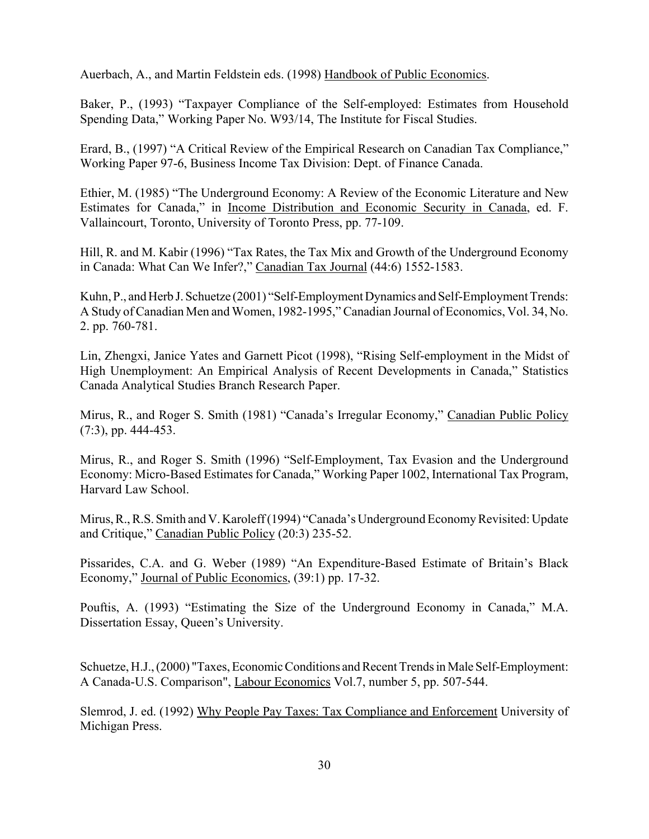Auerbach, A., and Martin Feldstein eds. (1998) Handbook of Public Economics.

Baker, P., (1993) "Taxpayer Compliance of the Self-employed: Estimates from Household Spending Data," Working Paper No. W93/14, The Institute for Fiscal Studies.

Erard, B., (1997) "A Critical Review of the Empirical Research on Canadian Tax Compliance," Working Paper 97-6, Business Income Tax Division: Dept. of Finance Canada.

Ethier, M. (1985) "The Underground Economy: A Review of the Economic Literature and New Estimates for Canada," in Income Distribution and Economic Security in Canada, ed. F. Vallaincourt, Toronto, University of Toronto Press, pp. 77-109.

Hill, R. and M. Kabir (1996) "Tax Rates, the Tax Mix and Growth of the Underground Economy in Canada: What Can We Infer?," Canadian Tax Journal (44:6) 1552-1583.

Kuhn, P., and Herb J. Schuetze (2001) "Self-Employment Dynamics and Self-Employment Trends: A Study of Canadian Men and Women, 1982-1995," Canadian Journal of Economics, Vol. 34, No. 2. pp. 760-781.

Lin, Zhengxi, Janice Yates and Garnett Picot (1998), "Rising Self-employment in the Midst of High Unemployment: An Empirical Analysis of Recent Developments in Canada," Statistics Canada Analytical Studies Branch Research Paper.

Mirus, R., and Roger S. Smith (1981) "Canada's Irregular Economy," Canadian Public Policy (7:3), pp. 444-453.

Mirus, R., and Roger S. Smith (1996) "Self-Employment, Tax Evasion and the Underground Economy: Micro-Based Estimates for Canada," Working Paper 1002, International Tax Program, Harvard Law School.

Mirus, R., R.S. Smith and V. Karoleff (1994) "Canada's Underground Economy Revisited: Update and Critique," Canadian Public Policy (20:3) 235-52.

Pissarides, C.A. and G. Weber (1989) "An Expenditure-Based Estimate of Britain's Black Economy," Journal of Public Economics, (39:1) pp. 17-32.

Pouftis, A. (1993) "Estimating the Size of the Underground Economy in Canada," M.A. Dissertation Essay, Queen's University.

Schuetze, H.J., (2000) "Taxes, Economic Conditions and Recent Trends in Male Self-Employment: A Canada-U.S. Comparison", Labour Economics Vol.7, number 5, pp. 507-544.

Slemrod, J. ed. (1992) Why People Pay Taxes: Tax Compliance and Enforcement University of Michigan Press.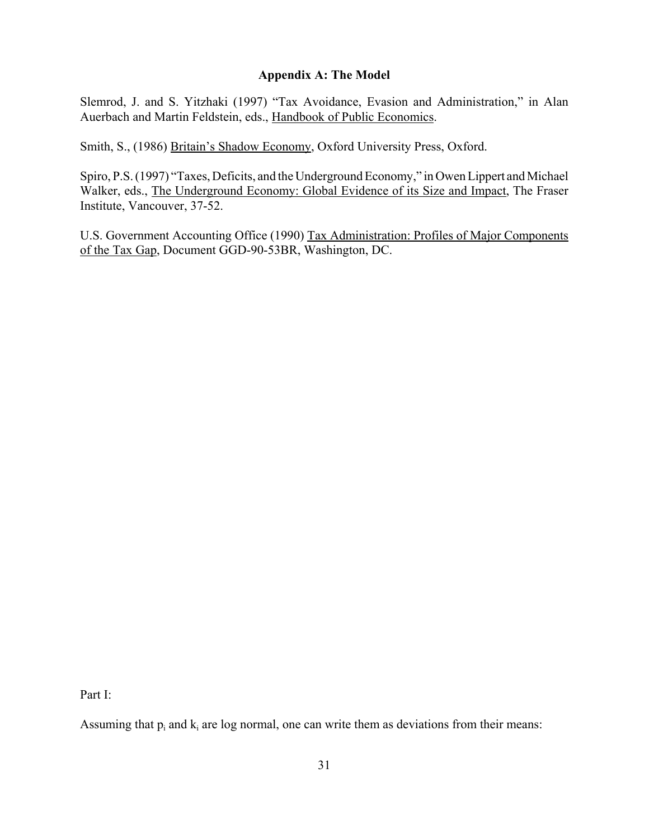## **Appendix A: The Model**

Slemrod, J. and S. Yitzhaki (1997) "Tax Avoidance, Evasion and Administration," in Alan Auerbach and Martin Feldstein, eds., Handbook of Public Economics.

Smith, S., (1986) Britain's Shadow Economy, Oxford University Press, Oxford.

Spiro, P.S. (1997) "Taxes, Deficits, and the Underground Economy," in Owen Lippert and Michael Walker, eds., The Underground Economy: Global Evidence of its Size and Impact, The Fraser Institute, Vancouver, 37-52.

U.S. Government Accounting Office (1990) Tax Administration: Profiles of Major Components of the Tax Gap, Document GGD-90-53BR, Washington, DC.

Part I:

Assuming that  $p_i$  and  $k_i$  are log normal, one can write them as deviations from their means: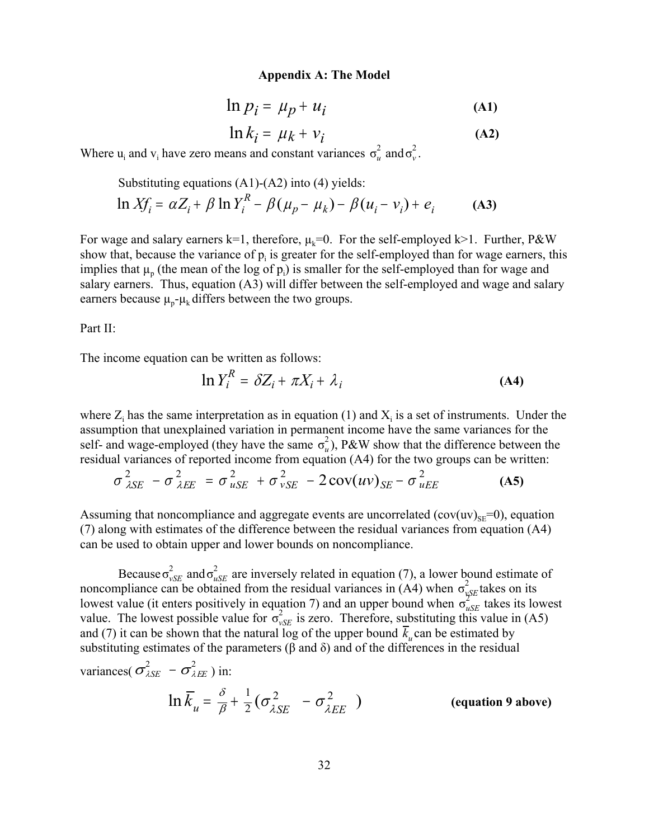#### **Appendix A: The Model**

$$
\ln p_i = \mu_p + u_i \tag{A1}
$$

$$
\ln k_i = \mu_k + \nu_i \tag{A2}
$$

Where  $u_i$  and  $v_i$  have zero means and constant variances  $\sigma_u^2$  and  $\sigma_v^2$ . *v*

Substituting equations (A1)-(A2) into (4) yields:  
\n
$$
\ln Xf_i = \alpha Z_i + \beta \ln Y_i^R - \beta (\mu_p - \mu_k) - \beta (u_i - v_i) + e_i
$$
 (A3)

For wage and salary earners k=1, therefore,  $\mu_k=0$ . For the self-employed k>1. Further, P&W show that, because the variance of  $p_i$  is greater for the self-employed than for wage earners, this implies that  $\mu_p$  (the mean of the log of  $p_i$ ) is smaller for the self-employed than for wage and salary earners. Thus, equation (A3) will differ between the self-employed and wage and salary earners because  $\mu_p$ - $\mu_k$  differs between the two groups.

Part II:

The income equation can be written as follows:

$$
\ln Y_i^R = \delta Z_i + \pi X_i + \lambda_i \tag{A4}
$$

where  $Z_i$  has the same interpretation as in equation (1) and  $X_i$  is a set of instruments. Under the assumption that unexplained variation in permanent income have the same variances for the self- and wage-employed (they have the same  $\sigma_u^2$ ), P&W show that the difference between the *u* residual variances of reported income from equation (A4) for the two groups can be written:

$$
\sigma_{\lambda SE}^2 - \sigma_{\lambda EE}^2 = \sigma_{uSE}^2 + \sigma_{vSE}^2 - 2\operatorname{cov}(uv)_{SE} - \sigma_{uEE}^2
$$
 (A5)

Assuming that noncompliance and aggregate events are uncorrelated  $(cov(uv)_{SE}=0)$ , equation (7) along with estimates of the difference between the residual variances from equation (A4) can be used to obtain upper and lower bounds on noncompliance.

Because  $\sigma_{vSE}^2$  and  $\sigma_{uSE}^2$  are inversely related in equation (7), a lower bound estimate of *uSE* noncompliance can be obtained from the residual variances in  $(A4)$  when  $\sigma_{vSE}^2$  takes on its *vSE* lowest value (it enters positively in equation 7) and an upper bound when  $\sigma_{\text{g}g}^{2\pi}$  takes its lowest *uses value* (*u* enters positively in equation *τ*) and an upper bound when  $\sigma_{uSE}$  takes its low value. The lowest possible value for  $\sigma_{vSE}^2$  is zero. Therefore, substituting this value in (A5) *vSE* and (7) it can be shown that the natural log of the upper bound  $\bar{k}_u$  can be estimated by substituting estimates of the parameters ( $\beta$  and  $\delta$ ) and of the differences in the residual variances( $\sigma_{\lambda SE}^2 - \sigma_{\lambda EE}^2$ ) in:

$$
\ln \overline{K}_u = \frac{\delta}{\beta} + \frac{1}{2} \left( \sigma_{\lambda SE}^2 - \sigma_{\lambda EE}^2 \right)
$$
 (equation 9 above)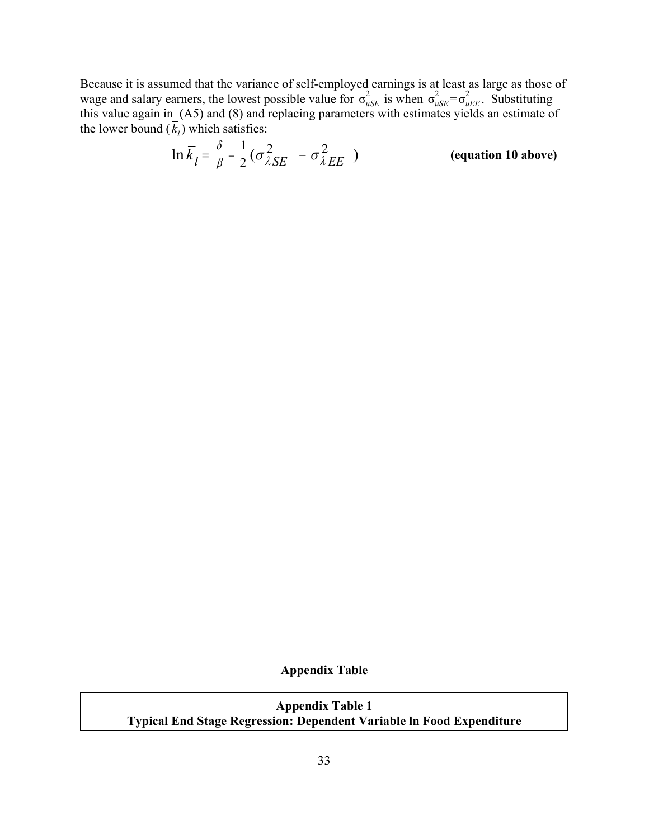Because it is assumed that the variance of self-employed earnings is at least as large as those of wage and salary earners, the lowest possible value for  $\sigma_{uSE}^2$  is when  $\sigma_{uSE}^2 = \sigma_{uEE}^2$ . Substituting wage and salary earliers, the lowest possible value for  $\sigma_{uSE}$  is when  $\sigma_{uSE} - \sigma_{uEE}$ . Substituting this value again in (A5) and (8) and replacing parameters with estimates yields an estimate of the lower bound  $(\overline{k}_l)$  which satisfies:

$$
\ln \overline{k}_l = \frac{\delta}{\beta} - \frac{1}{2} (\sigma_{\lambda SE}^2 - \sigma_{\lambda EE}^2)
$$
 (equation 10 above)

**Appendix Table**

**Appendix Table 1 Typical End Stage Regression: Dependent Variable ln Food Expenditure**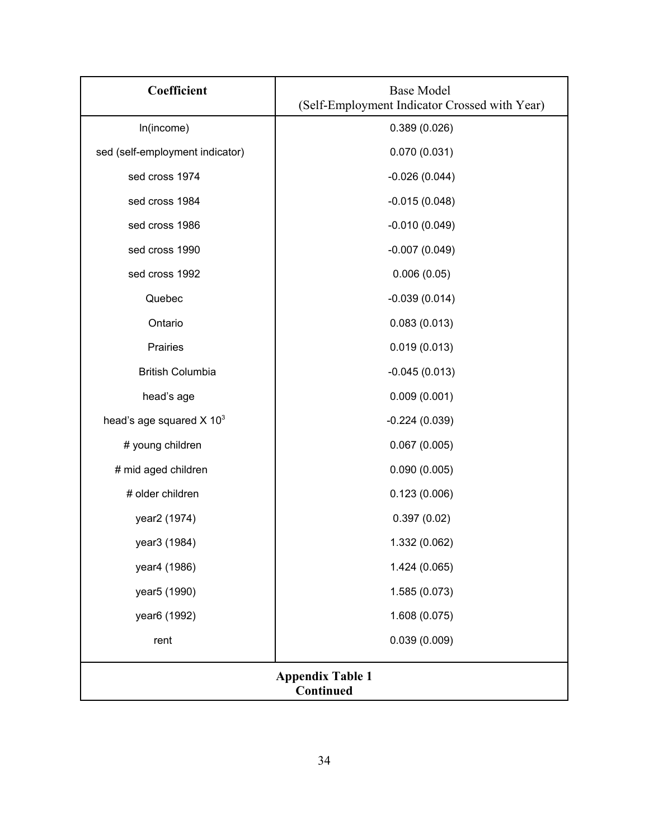| Coefficient                            | <b>Base Model</b><br>(Self-Employment Indicator Crossed with Year) |  |
|----------------------------------------|--------------------------------------------------------------------|--|
| In(income)                             | 0.389(0.026)                                                       |  |
| sed (self-employment indicator)        | 0.070(0.031)                                                       |  |
| sed cross 1974                         | $-0.026(0.044)$                                                    |  |
| sed cross 1984                         | $-0.015(0.048)$                                                    |  |
| sed cross 1986                         | $-0.010(0.049)$                                                    |  |
| sed cross 1990                         | $-0.007(0.049)$                                                    |  |
| sed cross 1992                         | 0.006(0.05)                                                        |  |
| Quebec                                 | $-0.039(0.014)$                                                    |  |
| Ontario                                | 0.083(0.013)                                                       |  |
| Prairies                               | 0.019(0.013)                                                       |  |
| <b>British Columbia</b>                | $-0.045(0.013)$                                                    |  |
| head's age                             | 0.009(0.001)                                                       |  |
| head's age squared $X$ 10 <sup>3</sup> | $-0.224(0.039)$                                                    |  |
| # young children                       | 0.067(0.005)                                                       |  |
| # mid aged children                    | 0.090(0.005)                                                       |  |
| # older children                       | 0.123(0.006)                                                       |  |
| year2 (1974)                           | 0.397(0.02)                                                        |  |
| year3 (1984)                           | 1.332 (0.062)                                                      |  |
| year4 (1986)                           | 1.424 (0.065)                                                      |  |
| year <sub>5</sub> (1990)               | 1.585 (0.073)                                                      |  |
| year <sub>6</sub> (1992)               | 1.608 (0.075)                                                      |  |
| rent                                   | 0.039(0.009)                                                       |  |
| <b>Appendix Table 1</b><br>Continued   |                                                                    |  |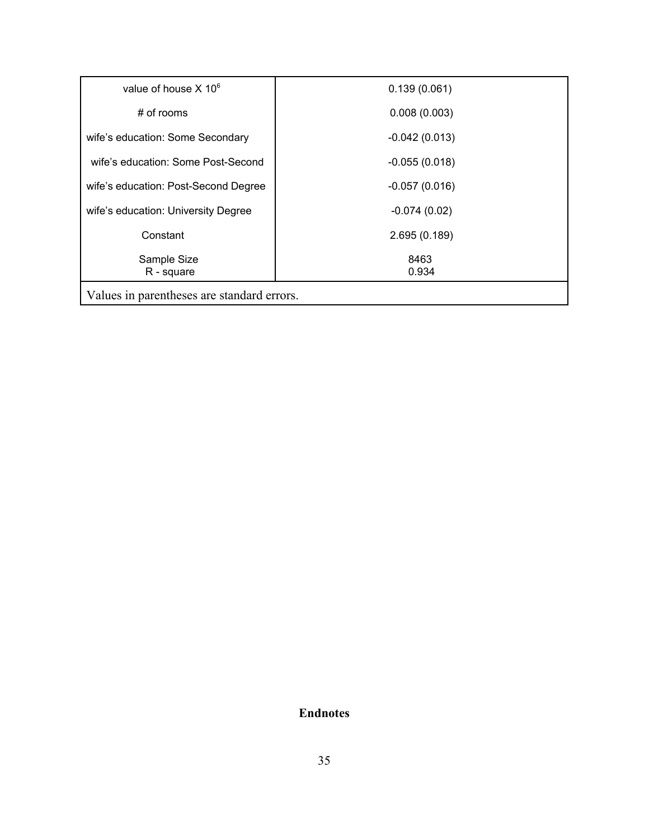| value of house $X$ 10 $\textdegree$        | 0.139(0.061)    |  |
|--------------------------------------------|-----------------|--|
| $#$ of rooms                               | 0.008(0.003)    |  |
| wife's education: Some Secondary           | $-0.042(0.013)$ |  |
| wife's education: Some Post-Second         | $-0.055(0.018)$ |  |
| wife's education: Post-Second Degree       | $-0.057(0.016)$ |  |
| wife's education: University Degree        | $-0.074(0.02)$  |  |
| Constant                                   | 2.695 (0.189)   |  |
| Sample Size<br>R - square                  | 8463<br>0.934   |  |
| Values in parentheses are standard errors. |                 |  |

# **Endnotes**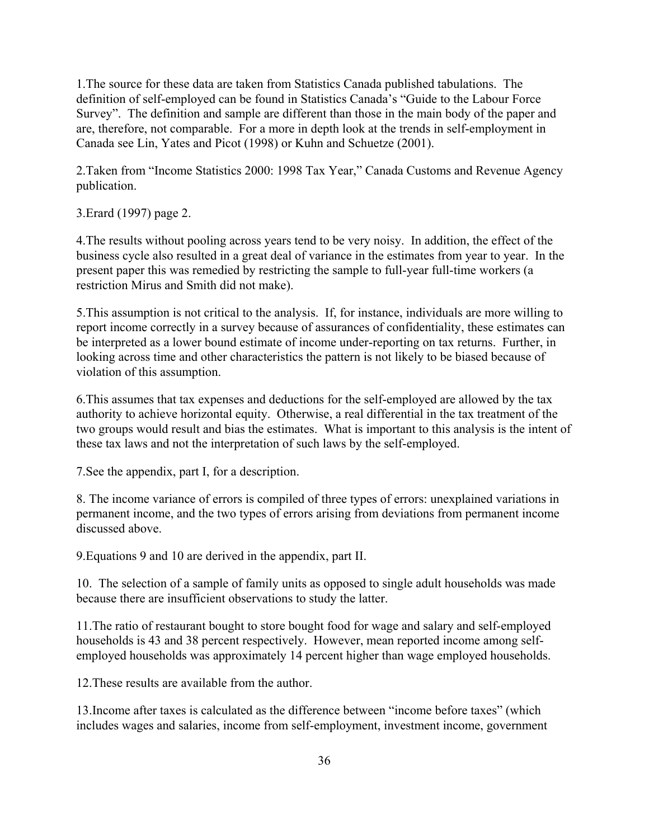1.The source for these data are taken from Statistics Canada published tabulations. The definition of self-employed can be found in Statistics Canada's "Guide to the Labour Force Survey". The definition and sample are different than those in the main body of the paper and are, therefore, not comparable. For a more in depth look at the trends in self-employment in Canada see Lin, Yates and Picot (1998) or Kuhn and Schuetze (2001).

2.Taken from "Income Statistics 2000: 1998 Tax Year," Canada Customs and Revenue Agency publication.

3.Erard (1997) page 2.

4.The results without pooling across years tend to be very noisy. In addition, the effect of the business cycle also resulted in a great deal of variance in the estimates from year to year. In the present paper this was remedied by restricting the sample to full-year full-time workers (a restriction Mirus and Smith did not make).

5.This assumption is not critical to the analysis. If, for instance, individuals are more willing to report income correctly in a survey because of assurances of confidentiality, these estimates can be interpreted as a lower bound estimate of income under-reporting on tax returns. Further, in looking across time and other characteristics the pattern is not likely to be biased because of violation of this assumption.

6.This assumes that tax expenses and deductions for the self-employed are allowed by the tax authority to achieve horizontal equity. Otherwise, a real differential in the tax treatment of the two groups would result and bias the estimates. What is important to this analysis is the intent of these tax laws and not the interpretation of such laws by the self-employed.

7.See the appendix, part I, for a description.

8. The income variance of errors is compiled of three types of errors: unexplained variations in permanent income, and the two types of errors arising from deviations from permanent income discussed above.

9.Equations 9 and 10 are derived in the appendix, part II.

10. The selection of a sample of family units as opposed to single adult households was made because there are insufficient observations to study the latter.

11.The ratio of restaurant bought to store bought food for wage and salary and self-employed households is 43 and 38 percent respectively. However, mean reported income among selfemployed households was approximately 14 percent higher than wage employed households.

12.These results are available from the author.

13.Income after taxes is calculated as the difference between "income before taxes" (which includes wages and salaries, income from self-employment, investment income, government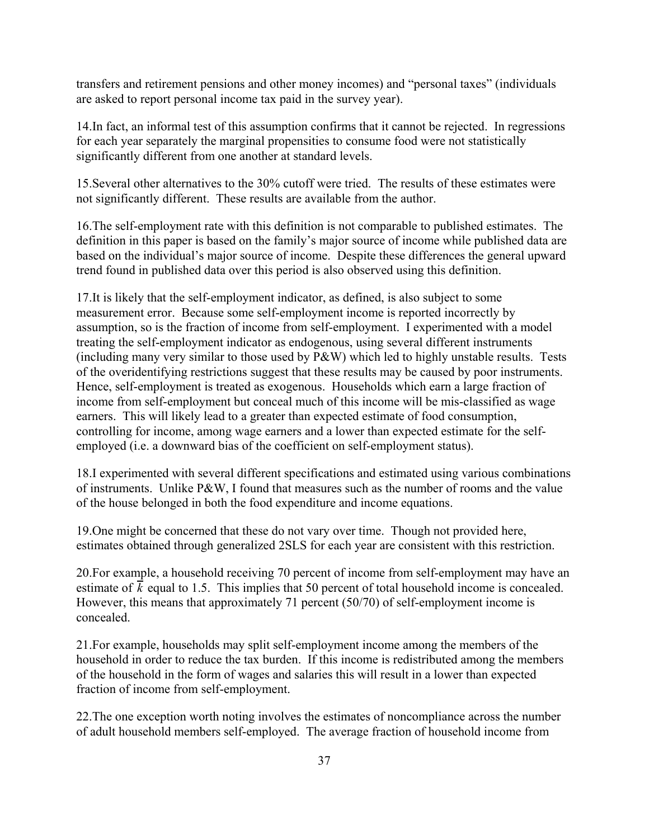transfers and retirement pensions and other money incomes) and "personal taxes" (individuals are asked to report personal income tax paid in the survey year).

14.In fact, an informal test of this assumption confirms that it cannot be rejected. In regressions for each year separately the marginal propensities to consume food were not statistically significantly different from one another at standard levels.

15.Several other alternatives to the 30% cutoff were tried. The results of these estimates were not significantly different. These results are available from the author.

16.The self-employment rate with this definition is not comparable to published estimates. The definition in this paper is based on the family's major source of income while published data are based on the individual's major source of income. Despite these differences the general upward trend found in published data over this period is also observed using this definition.

17.It is likely that the self-employment indicator, as defined, is also subject to some measurement error. Because some self-employment income is reported incorrectly by assumption, so is the fraction of income from self-employment. I experimented with a model treating the self-employment indicator as endogenous, using several different instruments (including many very similar to those used by P&W) which led to highly unstable results. Tests of the overidentifying restrictions suggest that these results may be caused by poor instruments. Hence, self-employment is treated as exogenous. Households which earn a large fraction of income from self-employment but conceal much of this income will be mis-classified as wage earners. This will likely lead to a greater than expected estimate of food consumption, controlling for income, among wage earners and a lower than expected estimate for the selfemployed (i.e. a downward bias of the coefficient on self-employment status).

18.I experimented with several different specifications and estimated using various combinations of instruments. Unlike P&W, I found that measures such as the number of rooms and the value of the house belonged in both the food expenditure and income equations.

19.One might be concerned that these do not vary over time. Though not provided here, estimates obtained through generalized 2SLS for each year are consistent with this restriction.

20.For example, a household receiving 70 percent of income from self-employment may have an estimate of  $\vec{k}$  equal to 1.5. This implies that 50 percent of total household income is concealed. However, this means that approximately 71 percent (50/70) of self-employment income is concealed.

21.For example, households may split self-employment income among the members of the household in order to reduce the tax burden. If this income is redistributed among the members of the household in the form of wages and salaries this will result in a lower than expected fraction of income from self-employment.

22.The one exception worth noting involves the estimates of noncompliance across the number of adult household members self-employed. The average fraction of household income from